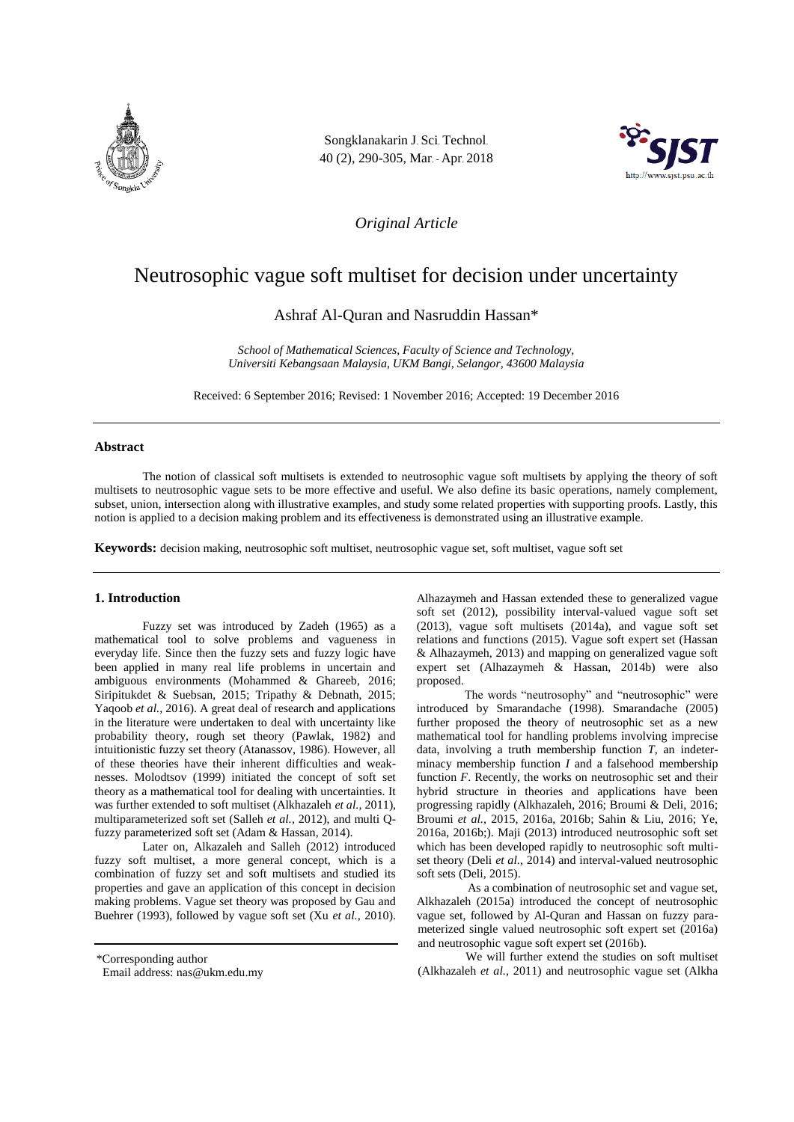

Songklanakarin J. Sci. Technol. 40 (2), 290-305, Mar. - Apr. 2018



*Original Article*

# Neutrosophic vague soft multiset for decision under uncertainty

Ashraf Al-Quran and Nasruddin Hassan\*

*School of Mathematical Sciences, Faculty of Science and Technology, Universiti Kebangsaan Malaysia, UKM Bangi, Selangor, 43600 Malaysia*

Received: 6 September 2016; Revised: 1 November 2016; Accepted: 19 December 2016

### **Abstract**

The notion of classical soft multisets is extended to neutrosophic vague soft multisets by applying the theory of soft multisets to neutrosophic vague sets to be more effective and useful. We also define its basic operations, namely complement, subset, union, intersection along with illustrative examples, and study some related properties with supporting proofs. Lastly, this notion is applied to a decision making problem and its effectiveness is demonstrated using an illustrative example.

**Keywords:** decision making, neutrosophic soft multiset, neutrosophic vague set, soft multiset, vague soft set

#### **1. Introduction**

Fuzzy set was introduced by Zadeh (1965) as a mathematical tool to solve problems and vagueness in everyday life. Since then the fuzzy sets and fuzzy logic have been applied in many real life problems in uncertain and ambiguous environments (Mohammed & Ghareeb, 2016; Siripitukdet & Suebsan, 2015; Tripathy & Debnath, 2015; Yaqoob *et al.,* 2016). A great deal of research and applications in the literature were undertaken to deal with uncertainty like probability theory, rough set theory (Pawlak, 1982) and intuitionistic fuzzy set theory (Atanassov, 1986). However, all of these theories have their inherent difficulties and weaknesses. Molodtsov (1999) initiated the concept of soft set theory as a mathematical tool for dealing with uncertainties. It was further extended to soft multiset (Alkhazaleh *et al.,* 2011), multiparameterized soft set (Salleh *et al.,* 2012), and multi Qfuzzy parameterized soft set (Adam & Hassan, 2014).

Later on, Alkazaleh and Salleh (2012) introduced fuzzy soft multiset, a more general concept, which is a combination of fuzzy set and soft multisets and studied its properties and gave an application of this concept in decision making problems. Vague set theory was proposed by Gau and Buehrer (1993), followed by vague soft set (Xu *et al.,* 2010).

\*Corresponding author

Alhazaymeh and Hassan extended these to generalized vague soft set (2012), possibility interval-valued vague soft set (2013), vague soft multisets (2014a), and vague soft set relations and functions (2015). Vague soft expert set (Hassan & Alhazaymeh, 2013) and mapping on generalized vague soft expert set (Alhazaymeh & Hassan, 2014b) were also proposed.

The words "neutrosophy" and "neutrosophic" were introduced by Smarandache (1998). Smarandache (2005) further proposed the theory of neutrosophic set as a new mathematical tool for handling problems involving imprecise data, involving a truth membership function *T*, an indeterminacy membership function *I* and a falsehood membership function *F*. Recently, the works on neutrosophic set and their hybrid structure in theories and applications have been progressing rapidly (Alkhazaleh, 2016; Broumi & Deli, 2016; Broumi *et al.,* 2015, 2016a, 2016b; Sahin & Liu, 2016; Ye, 2016a, 2016b;). Maji (2013) introduced neutrosophic soft set which has been developed rapidly to neutrosophic soft multiset theory (Deli *et al.,* 2014) and interval-valued neutrosophic soft sets (Deli, 2015).

As a combination of neutrosophic set and vague set, Alkhazaleh (2015a) introduced the concept of neutrosophic vague set, followed by Al-Quran and Hassan on fuzzy parameterized single valued neutrosophic soft expert set (2016a) and neutrosophic vague soft expert set (2016b).

We will further extend the studies on soft multiset (Alkhazaleh *et al.,* 2011) and neutrosophic vague set (Alkha

Email address: nas@ukm.edu.my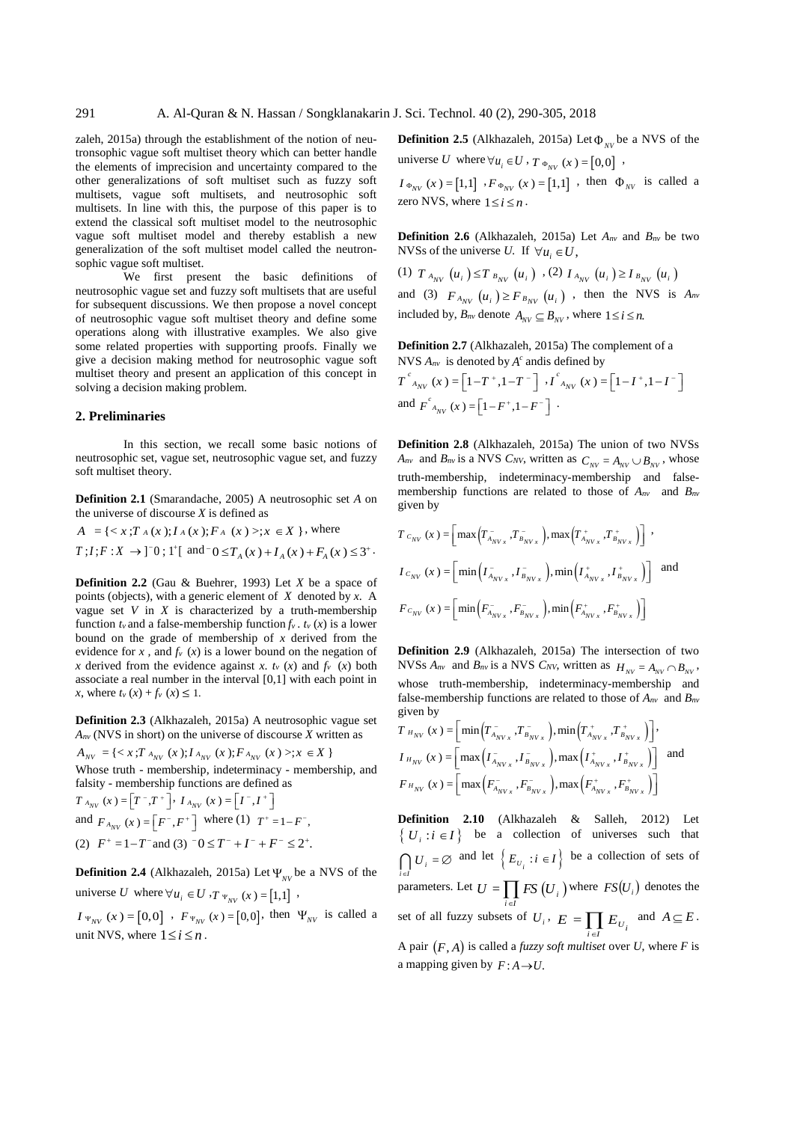zaleh, 2015a) through the establishment of the notion of neutronsophic vague soft multiset theory which can better handle the elements of imprecision and uncertainty compared to the other generalizations of soft multiset such as fuzzy soft multisets, vague soft multisets, and neutrosophic soft multisets. In line with this, the purpose of this paper is to extend the classical soft multiset model to the neutrosophic vague soft multiset model and thereby establish a new generalization of the soft multiset model called the neutronsophic vague soft multiset.

We first present the basic definitions of neutrosophic vague set and fuzzy soft multisets that are useful for subsequent discussions. We then propose a novel concept of neutrosophic vague soft multiset theory and define some operations along with illustrative examples. We also give some related properties with supporting proofs. Finally we give a decision making method for neutrosophic vague soft multiset theory and present an application of this concept in solving a decision making problem.

#### **2. Preliminaries**

In this section, we recall some basic notions of neutrosophic set, vague set, neutrosophic vague set, and fuzzy soft multiset theory.

**Definition 2.1** (Smarandache, 2005) A neutrosophic set *A* on the universe of discourse *X* is defined as

 $A = \{ \langle x, T_A(x); I_A(x); F_A(x) \rangle : x \in X \}$ , where  $T: I; F: X \to ]^{-}0; 1^{+}[$  and  $^{-}0 \leq T_{A}(x) + I_{A}(x) + F_{A}(x) \leq 3^{+}$ .

**Definition 2.2** (Gau & Buehrer, 1993) Let *X* be a space of points (objects), with a generic element of *X* denoted by *x*. A vague set *V* in *X* is characterized by a truth-membership function  $t<sub>v</sub>$  and a false-membership function  $f<sub>v</sub>$ .  $t<sub>v</sub>$  (*x*) is a lower bound on the grade of membership of *x* derived from the evidence for *x*, and  $f_v(x)$  is a lower bound on the negation of *x* derived from the evidence against *x*.  $t$ <sup>*v*</sup> (*x*) and  $f$ <sup>*v*</sup> (*x*) both associate a real number in the interval [0,1] with each point in *x*, where  $t_v(x) + f_v(x) \leq 1$ .

**Definition 2.3** (Alkhazaleh, 2015a) A neutrosophic vague set  $A_{nv}$  (NVS in short) on the universe of discourse  $\overline{X}$  written as

 $A_{_{NV}} = \{ \langle x, T_{A_{_{NV}}}(x); I_{A_{_{NV}}}(x); F_{A_{_{NV}}}(x) \rangle; K \in \mathbb{X} \}$ Whose truth - membership, indeterminacy - membership, and falsity - membership functions are defined as

$$
T_{A_{NV}}(x) = [T^-, T^+] \cdot I_{A_{NV}}(x) = [I^-, I^+]
$$
  
and  $F_{A_{NV}}(x) = [F^-, F^+]$  where (1)  $T^+ = 1 - F^-,$   
(2)  $F^+ = 1 - T^-$  and (3)  $0 \leq T^- + I^- + F^- \leq 2^+.$ 

**Definition 2.4** (Alkhazaleh, 2015a) Let  $\Psi_{\text{NV}}$  be a NVS of the universe U where  $\forall u_i \in U$ ,  $T \Psi_{NV}(x) = [1,1]$ ,

 $I_{\Psi_{NV}}(x) = [0,0] \cdot F_{\Psi_{NV}}(x) = [0,0]$ , then  $\Psi_{NV}$  is called a unit NVS, where  $1 \le i \le n$ .

**Definition 2.5** (Alkhazaleh, 2015a) Let  $\Phi_{\text{NV}}$  be a NVS of the universe U where  $\forall u_i \in U$ ,  $T \Phi_{NV}(x) = [0,0]$ ,

 $I_{\Phi_{NV}}(x) = [1,1]$   $F_{\Phi_{NV}}(x) = [1,1]$  then  $\Phi_{NV}$  is called a zero NVS, where  $1 \le i \le n$ .

**Definition 2.6** (Alkhazaleh, 2015a) Let *Anv* and *Bnv* be two NVSs of the universe *U*. If  $\forall u_i \in U$ ,

(1)  $T_{A_{NV}}(u_i) \le T_{B_{NV}}(u_i)$ , (2)  $I_{A_{NV}}(u_i) \ge I_{B_{NV}}(u_i)$ and (3)  $F_{A_{NV}}(u_i) \geq F_{B_{NV}}(u_i)$ , then the NVS is  $A_m$ included by,  $B_{nv}$  denote  $A_{NV} \subseteq B_{NV}$ , where  $1 \le i \le n$ .

**Definition 2.7** (Alkhazaleh, 2015a) The complement of a NVS  $A_{nv}$  is denoted by  $A^c$  andis defined by

$$
T^{c}_{A_{NV}}(x) = \left[1 - T^{+}, 1 - T^{-}\right] \cdot I^{c}_{A_{NV}}(x) = \left[1 - I^{+}, 1 - I^{-}\right]
$$
  
and 
$$
F^{c}_{A_{NV}}(x) = \left[1 - F^{+}, 1 - F^{-}\right]
$$
.

**Definition 2.8** (Alkhazaleh, 2015a) The union of two NVSs *A*<sup>*nv*</sup> and *B*<sup>*nv*</sup> is a NVS *C<sub>NV</sub>*, written as  $C_{\text{NV}} = A_{\text{NV}} \cup B_{\text{NV}}$ , whose truth-membership, indeterminacy-membership and falsemembership functions are related to those of *Anv* and *Bnv* given by

$$
T c_{_{NV}} (x) = \left[ \max \left( T_{_{A_{NV_x}}}^-, T_{_{B_{NV_x}}}^-, \right) , \max \left( T_{_{A_{NV_x}}}^+, T_{_{B_{NV_x}}}^+ \right) \right] ,
$$
  

$$
I c_{_{NV}} (x) = \left[ \min \left( I_{_{A_{NV_x}}}^-, I_{_{B_{NV_x}}}^-, \right) , \min \left( I_{_{A_{NV_x}}}^+, I_{_{B_{NV_x}}}^+ \right) \right] \text{ and}
$$
  

$$
F c_{_{NV}} (x) = \left[ \min \left( F_{_{A_{NV_x}}}^-, F_{_{B_{NV_x}}}^- \right) , \min \left( F_{_{A_{NV_x}}}^+, F_{_{B_{NV_x}}}^+ \right) \right]
$$

**Definition 2.9** (Alkhazaleh, 2015a) The intersection of two NVSs  $A_{nv}$  and  $B_{nv}$  is a NVS  $C_{NV}$ , written as  $H_{NV} = A_{NV} \cap B_{NV}$ , whose truth-membership, indeterminacy-membership and false-membership functions are related to those of *Anv* and *Bnv* given by

$$
T_{H_{NV}}(x) = \left[ \min\left(T_{A_{NV_x}}^-, T_{B_{NV_x}}^-, \right), \min\left(T_{A_{NV_x}}^+, T_{B_{NV_x}}^+\right) \right],
$$
  
\n
$$
I_{H_{NV}}(x) = \left[ \max\left(I_{A_{NV_x}}^-, I_{B_{NV_x}}^-, \right), \max\left(I_{A_{NV_x}}^+, I_{B_{NV_x}}^+\right) \right]
$$
 and  
\n
$$
F_{H_{NV}}(x) = \left[ \max\left(F_{A_{NV_x}}^-, F_{B_{NV_x}}^-, \right), \max\left(F_{A_{NV_x}}^+, F_{B_{NV_x}}^+\right) \right]
$$

**Definition 2.10** (Alkhazaleh & Salleh, 2012) Let  $\{ U_i : i \in I \}$  be a collection of universes such that  $U_i = \emptyset$  and let  $\left\{ E_{U_i} : i \in I \right\}$  be a collection of sets of  $i \in I$ <br>parameters. Let  $U = \prod_{i \in I} FS (U_i)$  $U = \prod$  *FS*  $(U_i)$  where  $FS(U_i)$  denotes the set of all fuzzy subsets of  $U_i$ ,  $E = \prod_{i \in I} E_{U_i}$  $E = \prod E$  $\prod_{i \in I} E_{U_i}$  and  $A \subseteq E$ . A pair  $(F, A)$  is called a *fuzzy soft multiset* over *U*, where *F* is a mapping given by  $F: A \rightarrow U$ .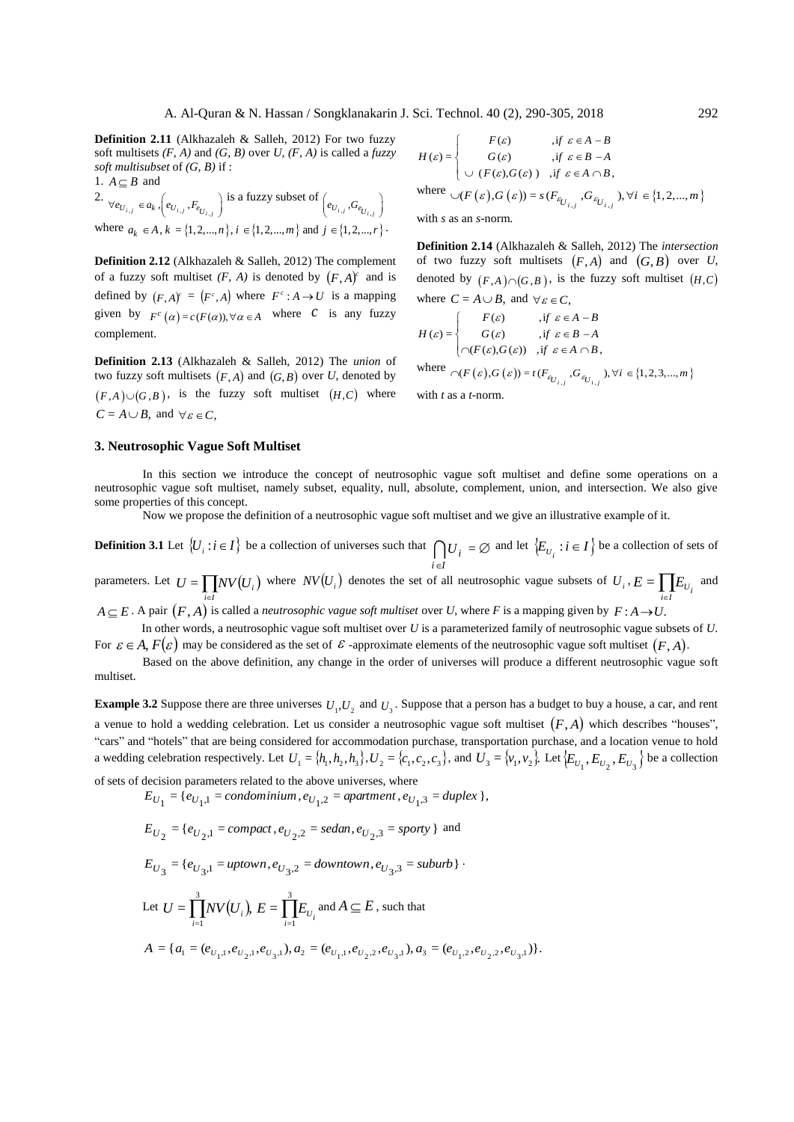**Definition 2.11** (Alkhazaleh & Salleh, 2012) For two fuzzy soft multisets *(F, A)* and *(G, B)* over *U, (F, A)* is called a *fuzzy soft multisubset* of *(G, B)* if : 1.  $A \subseteq B$  and

2.  $\forall e_{U_{i,j}} \in a_k$ ,  $\left(e_{U_{i,j}}, F_{e_{U_{i,j}}}\right)$  is a fuzzy subset of  $\left(e_{U_{i,j}}, G_{e_{U_{i,j}}}\right)$ where  $a_k \in A, k = \{1, 2, ..., n\}, i \in \{1, 2, ..., m\}$  and  $j \in \{1, 2, ..., r\}$ .

**Definition 2.12** (Alkhazaleh & Salleh, 2012) The complement of a fuzzy soft multiset  $(F, A)$  is denoted by  $(F, A)^c$  and is defined by  $(F, A)^c = (F^c, A)$  where  $F^c : A \rightarrow U$  is a mapping given by  $F^c(\alpha) = c(F(\alpha)), \forall \alpha \in A$  where C is any fuzzy complement.

**Definition 2.13** (Alkhazaleh & Salleh, 2012) The *union* of two fuzzy soft multisets  $(F, A)$  and  $(G, B)$  over *U*, denoted by  $(F, A) \cup (G, B)$ , is the fuzzy soft multiset  $(H, C)$  where  $C = A \cup B$ , and  $\forall \varepsilon \in C$ ,

$$
H(\varepsilon) = \begin{cases} F(\varepsilon) & , \text{if } \varepsilon \in A - B \\ G(\varepsilon) & , \text{if } \varepsilon \in B - A \\ \cup (F(\varepsilon), G(\varepsilon)) & , \text{if } \varepsilon \in A \cap B, \end{cases}
$$

where  $\bigcup (F(\varepsilon), G(\varepsilon)) = s(F_{\varepsilon_{U_{i,j}}}, G_{\varepsilon_{U_{i,j}}}), \forall i \in \{1, 2, ..., m\}$ 

with *s* as an *s*-norm.

**Definition 2.14** (Alkhazaleh & Salleh, 2012) The *intersection* of two fuzzy soft multisets  $(F, A)$  and  $(G, B)$  over *U*, denoted by  $(F, A) \cap (G, B)$ , is the fuzzy soft multiset  $(H, C)$ where  $C = A \cup B$ , and  $\forall \varepsilon \in C$ ,

$$
H(\varepsilon) = \begin{cases} F(\varepsilon) & , \text{if } \varepsilon \in A - B \\ G(\varepsilon) & , \text{if } \varepsilon \in B - A \\ \bigcap (F(\varepsilon), G(\varepsilon)) & , \text{if } \varepsilon \in A \cap B, \end{cases}
$$

where  $\bigcap (F(\varepsilon), G(\varepsilon)) = t(F_{\varepsilon_{U_{i,j}}}, G_{\varepsilon_{U_{i,j}}}), \forall i \in \{1, 2, 3, ..., m\}$ 

with *t* as a *t*-norm.

#### **3. Neutrosophic Vague Soft Multiset**

In this section we introduce the concept of neutrosophic vague soft multiset and define some operations on a neutrosophic vague soft multiset, namely subset, equality, null, absolute, complement, union, and intersection. We also give some properties of this concept.

Now we propose the definition of a neutrosophic vague soft multiset and we give an illustrative example of it.

**Definition 3.1** Let  $\{U_i : i \in I\}$  be a collection of universes such that  $\bigcap U_i = \emptyset$  and let  $\{E_{U_i} : i \in I\}$  be a collection of sets of *i* ∈I ∈

parameters. Let  $U = \prod N V(U_i)$  where  $NV(U_i)$  denotes the set of all neutrosophic vague subsets of  $U_i$ ,  $E = \prod E_{U_i}$  and *i I i* ∈1 ∊

 $A \subseteq E$  . A pair  $(F, A)$  is called a *neutrosophic vague soft multiset* over *U*, where *F* is a mapping given by  $F : A \to U$ .

In other words, a neutrosophic vague soft multiset over *U* is a parameterized family of neutrosophic vague subsets of *U*. For  $\varepsilon \in A$ ,  $F(\varepsilon)$  may be considered as the set of  $\varepsilon$  -approximate elements of the neutrosophic vague soft multiset  $(F, A)$ .

Based on the above definition, any change in the order of universes will produce a different neutrosophic vague soft multiset.

**Example 3.2** Suppose there are three universes  $U_1, U_2$  and  $U_3$ . Suppose that a person has a budget to buy a house, a car, and rent a venue to hold a wedding celebration. Let us consider a neutrosophic vague soft multiset  $(F, A)$  which describes "houses", "cars" and "hotels" that are being considered for accommodation purchase, transportation purchase, and a location venue to hold a wedding celebration respectively. Let  $U_1 = \{h_1, h_2, h_3\}$ ,  $U_2 = \{c_1, c_2, c_3\}$ , and  $U_3 = \{v_1, v_2\}$ . Let  $\{E_{U_1}, E_{U_2}, E_{U_3}\}$  be a collection

of sets of decision parameters related to the above universes, where

$$
E_{U_1} = \{e_{U_1,1} = condominium, e_{U_1,2} = apartment, e_{U_1,3} = duplex\},\
$$

$$
E_{U_2} = \{e_{U_2,1} = \text{compact}, e_{U_2,2} = \text{sedan}, e_{U_2,3} = \text{sporty}\}\
$$
 and

 $E_{U_3} = \{e_{U_3,1} = \text{uptown}, e_{U_3,2} = \text{downtown}, e_{U_3,3} = \text{suburb} \}$ 

Let 
$$
U = \prod_{i=1}^{3} NV(U_i)
$$
,  $E = \prod_{i=1}^{3} E_{U_i}$  and  $A \subseteq E$ , such that  
\n $A = \{a_1 = (e_{U_1,1}, e_{U_2,1}, e_{U_3,1}), a_2 = (e_{U_1,1}, e_{U_2,2}, e_{U_3,1}), a_3 = (e_{U_1,2}, e_{U_2,2}, e_{U_3,1})\}.$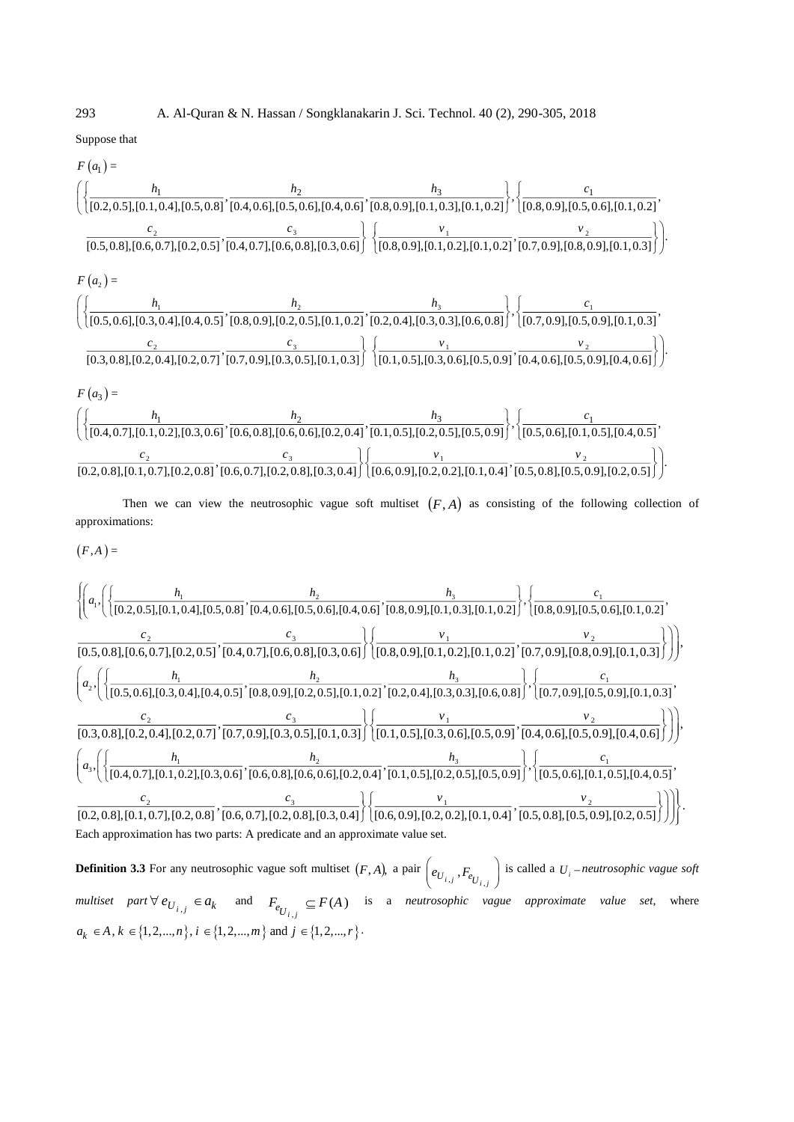293 A. Al-Quran & N. Hassan / Songklanakarin J. Sci. Technol. 40 (2), 290-305, 2018

Suppose that

$$
F(a_1) = \left( \left\{ \frac{h_1}{[0.2, 0.5], [0.1, 0.4], [0.5, 0.8]}, \frac{h_2}{[0.4, 0.6], [0.5, 0.6], [0.4, 0.6]}, \frac{h_3}{[0.8, 0.9], [0.1, 0.3], [0.1, 0.2]} \right\} , \left\{ \frac{c_1}{[0.8, 0.9], [0.5, 0.6], [0.1, 0.2]} \right\} \right)
$$
\n
$$
F(a_2) = \left( \left\{ \frac{h_1}{[0.5, 0.8], [0.6, 0.7], [0.2, 0.5]}, \frac{h_2}{[0.4, 0.7], [0.6, 0.8], [0.3, 0.6]} \right\} \left\{ \frac{v_1}{[0.8, 0.9], [0.1, 0.2], [0.1, 0.2]} \right\} \cdot \left\{ \frac{v_2}{[0.7, 0.9], [0.8, 0.9], [0.1, 0.3]} \right\} \right)
$$
\n
$$
F(a_2) = \left( \left\{ \frac{h_1}{[0.5, 0.6], [0.3, 0.4], [0.4, 0.5]}, \frac{h_2}{[0.8, 0.9], [0.2, 0.5], [0.1, 0.2]} \right\} \cdot \left\{ \frac{h_3}{[0.7, 0.9], [0.5, 0.8]} \right\} \cdot \left\{ \frac{c_1}{[0.7, 0.9], [0.5, 0.9], [0.1, 0.3]} \right\}
$$
\n
$$
F(a_3) = \left( \left\{ \frac{h_1}{[0.5, 0.6], [0.2, 0.4], [0.2, 0.7]}, \frac{c_3}{[0.7, 0.9], [0.3, 0.5], [0.1, 0.3]} \right\} \cdot \left\{ \frac{v_1}{[0.1, 0.5], [0.3, 0.6], [0.5, 0.9]}, \frac{v_2}{[0.4, 0.6], [0.5, 0.9], [0.4, 0.6]} \right\} \right)
$$
\n
$$
F(a_3) = \
$$

$$
\left\{\left(a_{1}, \left( \left\{\frac{h_{1}}{[0.2,0.5],[0.1,0.4],[0.5,0.8]}, \frac{h_{2}}{[0.4,0.6],[0.5,0.6],[0.4,0.6]}, \frac{h_{3}}{[0.8,0.9],[0.1,0.3],[0.1,0.2]}\right\}, \left\{\frac{c_{1}}{[0.8,0.9],[0.5,0.6],[0.1,0.2]}, \frac{c_{2}}{[0.5,0.8],[0.6,0.7],[0.2,0.5]}, \frac{c_{3}}{[0.4,0.7],[0.6,0.8],[0.3,0.6]}\right\}\left(\frac{v_{1}}{[0.8,0.9],[0.1,0.2],[0.1,0.2]}, \frac{v_{2}}{[0.7,0.9],[0.8,0.9],[0.1,0.3]}\right)\right)\right),
$$
  
\n
$$
\left(a_{2}, \left(\left\{\frac{h_{1}}{[0.5,0.6],[0.3,0.4],[0.4,0.5]}, \frac{h_{2}}{[0.8,0.9],[0.2,0.5],[0.1,0.2]}, \frac{h_{3}}{[0.2,0.4],[0.3,0.3],[0.6,0.8]}\right\}, \left\{\frac{c_{1}}{[0.7,0.9],[0.5,0.9],[0.1,0.3]}\right\}\right)\right),
$$
  
\n
$$
\frac{c_{2}}{[0.3,0.8],[0.2,0.4],[0.2,0.7]}, \frac{c_{3}}{[0.7,0.9],[0.3,0.5],[0.1,0.3]}\right\}\left(\frac{v_{1}}{[0.1,0.5],[0.3,0.6],[0.5,0.9]}, \frac{v_{2}}{[0.4,0.6],[0.5,0.9],[0.4,0.6]}\right)\right)\right),
$$
  
\n
$$
\left(a_{3}, \left(\left\{\frac{h_{1}}{[0.4,0.7],[0.1,0.2],[0.3,0.6]}, \frac{h_{2}}{[0.6,0.8],[0.6,0.5],[0.2,0.4]}, \frac{h_{3}}{[0.1,0.5],[0.2,0.5],[0.5,0.9]}\right\}, \left\{\frac{c_{1}}{[0
$$

Each approximation has two parts: A predicate and an approximate value set.

**Definition 3.3** For any neutrosophic vague soft multiset  $(F, A)$ , a pair  $(e_{U_{i,j}}, F_{e_{U_{i,j}}})$  is called a  $U_i$ -neutrosophic vague soft *multiset*  $part \forall e_{U_{i,j}} \in a_k$  and  $F_{e_{U_{i,j}}} \subseteq F(A)$  is a *neutrosophic vague approximate value set*, where  $a_k \in A, k \in \{1, 2, ..., n\}, i \in \{1, 2, ..., m\}$  and  $j \in \{1, 2, ..., r\}$ .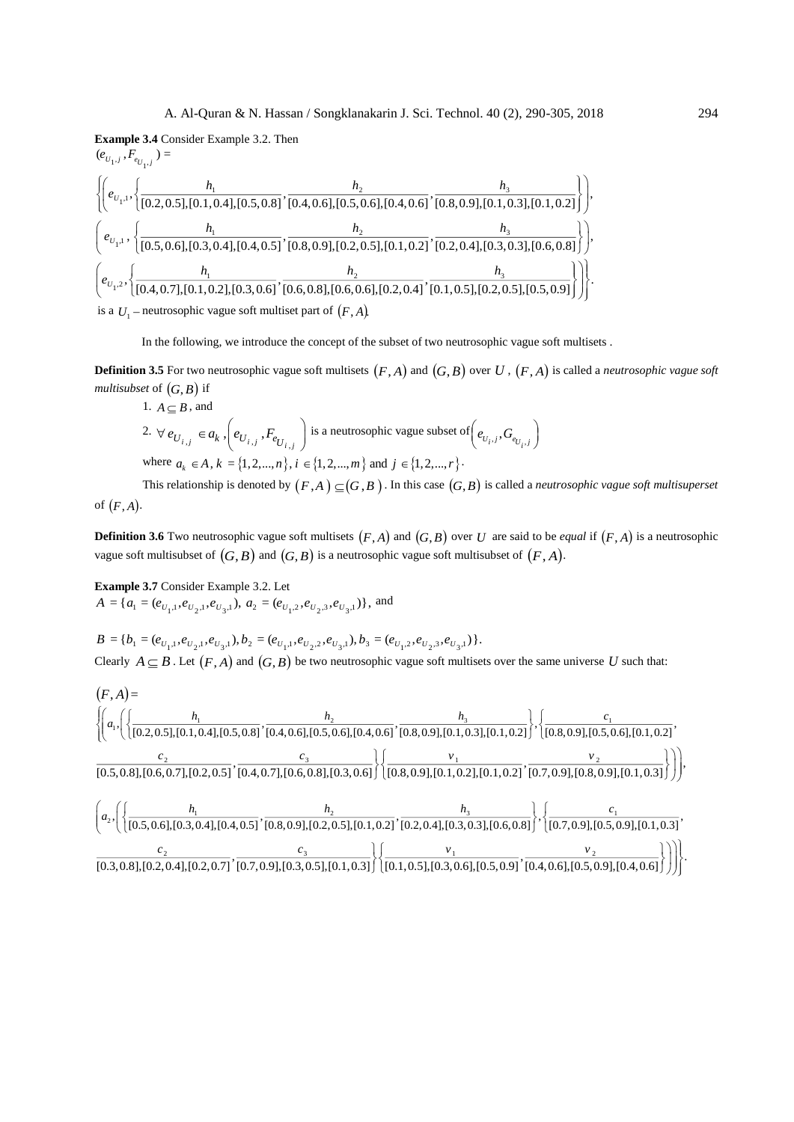**Example 3.4** Consider Example 3.2. Then

$$
(e_{U_{1},i}, F_{e_{U_{1},i}}) =
$$
\n
$$
\left\{ \left( e_{U_{1},1}, \left\{ \frac{h_1}{[0.2, 0.5], [0.1, 0.4], [0.5, 0.8]}, \frac{h_2}{[0.4, 0.6], [0.5, 0.6], [0.4, 0.6]}, \frac{h_3}{[0.8, 0.9], [0.1, 0.3], [0.1, 0.2]} \right\} \right\},\
$$
\n
$$
\left\{ e_{U_{1},1}, \left\{ \frac{h_1}{[0.5, 0.6], [0.3, 0.4], [0.4, 0.5]}, \frac{h_2}{[0.8, 0.9], [0.2, 0.5], [0.1, 0.2]}, \frac{h_3}{[0.2, 0.4], [0.3, 0.3], [0.6, 0.8]} \right\} \right\},\
$$
\n
$$
\left\{ e_{U_{1},2}, \left\{ \frac{h_1}{[0.4, 0.7], [0.1, 0.2], [0.3, 0.6]}, \frac{h_2}{[0.6, 0.8], [0.6, 0.6], [0.2, 0.4]}, \frac{h_3}{[0.1, 0.5], [0.2, 0.5], [0.5, 0.9]} \right\} \right\}.
$$
\nis a  $U_1$  – neutrosophic vague soft multiset part of  $(F, A)$ .

In the following, we introduce the concept of the subset of two neutrosophic vague soft multisets .

**Definition 3.5** For two neutrosophic vague soft multisets  $(F, A)$  and  $(G, B)$  over  $U$  ,  $(F, A)$  is called a *neutrosophic vague soft multisubset* of  $\big( G,B\big)$  if

1. 
$$
A \subseteq B
$$
, and  
\n2.  $\forall e_{U_{i,j}} \in a_k$ ,  $\left(e_{U_{i,j}}, F_{e_{U_{i,j}}}\right)$  is a neutrosophic vague subset of  $\left(e_{U_i,j}, G_{e_{U_i,j}}\right)$   
\nwhere  $a_k \in A$ ,  $k = \{1, 2, ..., n\}$ ,  $i \in \{1, 2, ..., m\}$  and  $j \in \{1, 2, ..., r\}$ .

This relationship is denoted by  $(F, A) \subseteq (G, B)$  . In this case  $(G, B)$  is called a *neutrosophic vague soft multisuperset* of *<sup>F</sup>*, *<sup>A</sup>*.

**Definition 3.6** Two neutrosophic vague soft multisets  $(F, A)$  and  $(G, B)$  over *U* are said to be *equal* if  $(F, A)$  is a neutrosophic vague soft multisubset of  $(G, B)$  and  $(G, B)$  is a neutrosophic vague soft multisubset of  $(F, A)$ .

**Example 3.7** Consider Example 3.2. Let  $A = \{a_1 = (e_{U_1,1}, e_{U_2,1}, e_{U_3,1}), a_2 = (e_{U_1,2}, e_{U_2,3}, e_{U_3,1})\}\$ , and

$$
B = \{b_1 = (e_{U_1,1}, e_{U_2,1}, e_{U_3,1}), b_2 = (e_{U_1,1}, e_{U_2,2}, e_{U_3,1}), b_3 = (e_{U_1,2}, e_{U_2,3}, e_{U_3,1})\}.
$$
  
Clearly  $A \subseteq B$ . Let  $(F, A)$  and  $(G, B)$  be two neutrosophic vague soft multisets over the same universe U such that:

$$
(F,A) = \begin{cases} \begin{pmatrix} h_1 & h_2 \end{pmatrix} & h_3 \end{cases} \begin{pmatrix} h_3 & h_4 \end{pmatrix} \begin{pmatrix} c_1 \\ \frac{1}{2} & c_2 \end{pmatrix} \\ \begin{pmatrix} c_2 & c_3 \end{pmatrix} & \frac{1}{2} \begin{pmatrix} c_3 \\ \frac{1}{2} & c_3 \end{pmatrix} \begin{pmatrix} c_1 \\ \frac{1}{2} & c_4 \end{pmatrix} \begin{pmatrix} c_2 \\ \frac{1}{2} & c_5 \end{pmatrix} \begin{pmatrix} c_3 \\ \frac{1}{2} & c_5 \end{pmatrix} \begin{pmatrix} c_1 \\ \frac{1}{2} & c_6 \end{pmatrix} \begin{pmatrix} c_2 \\ \frac{1}{2} & c_7 \end{pmatrix} \begin{pmatrix} c_3 \\ \frac{1}{2} & c_7 \end{pmatrix} \begin{pmatrix} c_3 \\ \frac{1}{2} & c_7 \end{pmatrix} \begin{pmatrix} c_3 \\ \frac{1}{2} & c_7 \end{pmatrix} \begin{pmatrix} c_3 \\ \frac{1}{2} & c_7 \end{pmatrix} \begin{pmatrix} c_3 \\ \frac{1}{2} & c_7 \end{pmatrix} \begin{pmatrix} c_3 \\ \frac{1}{2} & c_7 \end{pmatrix} \begin{pmatrix} c_3 \\ \frac{1}{2} & c_7 \end{pmatrix} \begin{pmatrix} c_3 \\ \frac{1}{2} & c_7 \end{pmatrix} \begin{pmatrix} c_1 \\ \frac{1}{2} & c_7 \end{pmatrix} \begin{pmatrix} c_2 \\ \frac{1}{2} & c_7 \end{pmatrix} \begin{pmatrix} c_3 \\ \frac{1}{2} & c_7 \end{pmatrix} \begin{pmatrix} c_1 \\ \frac{1}{2} & c_7 \end{pmatrix} \begin{pmatrix} c_2 \\ \frac{1}{2} & c_7 \end{pmatrix} \begin{pmatrix} c_3 \\ \frac{1}{2} & c_7 \end{pmatrix} \begin{pmatrix} c_1 \\ \frac{1}{2} & c_7 \end{pmatrix} \begin{pmatrix} c_2 \\ \frac{1}{2} & c_7 \end{pmatrix} \begin{pmatrix} c_3 \\ \frac{1}{2} & c_7 \end{pmatrix} \begin{pmatrix} c_1 \\ \frac{1}{2} & c_7 \end{pmatrix}
$$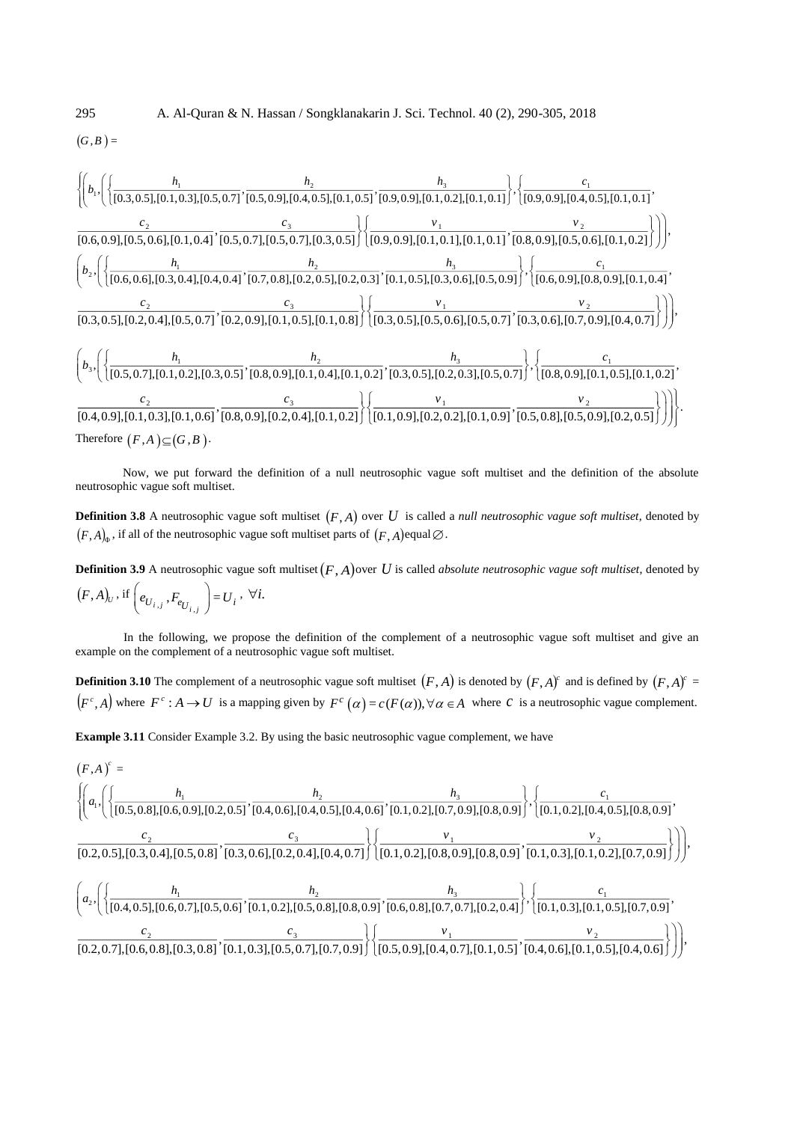$$
(G,B)=
$$

$$
\left\{\left(b_{1}, \left( \left\{\frac{h_{1}}{[0.3,0.5],[0.1,0.3],[0.5,0.7]}, \frac{h_{2}}{[0.5,0.9],[0.4,0.5],[0.1,0.5]}, \frac{h_{3}}{[0.9,0.9],[0.1,0.2],[0.1,0.1]}\right\}, \left\{\frac{c_{1}}{[0.9,0.9],[0.4,0.5],[0.1,0.1]}, \frac{c_{2}}{[0.6,0.9],[0.5,0.6],[0.1,0.4]}, \frac{c_{3}}{[0.5,0.7],[0.5,0.7],[0.5,0.7],[0.3,0.5]}\right\}\right\}\left(\frac{v_{1}}{[0.9,0.9],[0.1,0.1]}, \frac{v_{2}}{[0.9,0.9],[0.5,0.6],[0.1,0.1]}\right),
$$
\n
$$
\left(b_{2}, \left(\left\{\frac{h_{1}}{[0.6,0.6],[0.3,0.4],[0.4,0.4]}, \frac{h_{2}}{[0.7,0.8],[0.2,0.5],[0.2,0.5]}, [0.2,0.5],[0.2,0.5], [0.2,0.5], [0.5,0.6], [0.5,0.9]}\right\}, \left\{\frac{c_{1}}{[0.6,0.9],[0.8,0.9],[0.1,0.4]}\right\}, \left\{\frac{c_{2}}{[0.3,0.5],[0.2,0.4],[0.5,0.7]}, \frac{c_{3}}{[0.2,0.9],[0.1,0.5], [0.2,0.5], [0.2,0.5], [0.5,0.6], [0.5,0.9]}\right\}, \left\{\frac{c_{1}}{[0.6,0.9],[0.8,0.9],[0.1,0.4]}, \frac{v_{2}}{[0.3,0.5],[0.2,0.4], [0.5,0.7]}, \frac{v_{2}}{[0.3,0.5], [0.5,0.6], [0.5,0.7]}, \frac{v_{2}}{[0.3,0.6], [0.7,0.9], [0.4,0.7]}\right\}\right)\right),
$$
\n
$$
\left(b_{3}, \left(\left\{\frac{h_{1}}{[0.5,0.7],[0.1
$$

Now, we put forward the definition of a null neutrosophic vague soft multiset and the definition of the absolute neutrosophic vague soft multiset.

**Definition 3.8** A neutrosophic vague soft multiset  $(F, A)$  over  $U$  is called a *null neutrosophic vague soft multiset*, denoted by  $(F, A)_{\Phi}$  , if all of the neutrosophic vague soft multiset parts of  $(F, A)$ equal $\varnothing$ .

**Definition 3.9** A neutrosophic vague soft multiset  $(F, A)$  over U is called *absolute neutrosophic vague soft multiset*, denoted by  $(F, A)_U$ , if  $\left(e_{U_{i,j}}, F_{e_{U_{i,j}}}\right) = U_i$ ,  $\forall i$ .

In the following, we propose the definition of the complement of a neutrosophic vague soft multiset and give an example on the complement of a neutrosophic vague soft multiset.

**Definition 3.10** The complement of a neutrosophic vague soft multiset  $(F, A)$  is denoted by  $(F, A)^c$  and is defined by  $(F, A)^c$  =  $(F^c, A)$  where  $F^c : A \to U$  is a mapping given by  $F^c(\alpha) = c(F(\alpha)), \forall \alpha \in A$  where C is a neutrosophic vague complement.

**Example 3.11** Consider Example 3.2. By using the basic neutrosophic vague complement, we have

$$
(F,A)^{c} = \begin{cases} \begin{pmatrix} h_{1} & h_{2} \\ a_{1} \end{pmatrix} \begin{pmatrix} h_{2} & h_{3} \\ \frac{1}{2} \end{pmatrix} \begin{pmatrix} h_{3} & h_{4} \\ \frac{1}{2} \end{pmatrix} \begin{pmatrix} c_{1} \\ \frac{1}{2} \end{pmatrix} \begin{pmatrix} c_{1} \\ \frac{1}{2} \end{pmatrix} \begin{pmatrix} c_{2} \\ \frac{1}{2} \end{pmatrix} \begin{pmatrix} c_{3} \\ \frac{1}{2} \end{pmatrix} \begin{pmatrix} c_{1} \\ \frac{1}{2} \end{pmatrix} \begin{pmatrix} c_{2} \\ \frac{1}{2} \end{pmatrix} \begin{pmatrix} c_{3} \\ \frac{1}{2} \end{pmatrix} \begin{pmatrix} c_{1} \\ \frac{1}{2} \end{pmatrix} \begin{pmatrix} c_{2} \\ \frac{1}{2} \end{pmatrix} \begin{pmatrix} c_{3} \\ \frac{1}{2} \end{pmatrix} \begin{pmatrix} c_{1} \\ \frac{1}{2} \end{pmatrix} \begin{pmatrix} c_{2} \\ \frac{1}{2} \end{pmatrix} \begin{pmatrix} c_{3} \\ \frac{1}{2} \end{pmatrix} \begin{pmatrix} c_{1} \\ \frac{1}{2} \end{pmatrix} \begin{pmatrix} c_{2} \\ \frac{1}{2} \end{pmatrix} \begin{pmatrix} c_{3} \\ \frac{1}{2} \end{pmatrix} \begin{pmatrix} c_{1} \\ \frac{1}{2} \end{pmatrix} \begin{pmatrix} c_{2} \\ \frac{1}{2} \end{pmatrix} \begin{pmatrix} c_{3} \\ \frac{1}{2} \end{pmatrix} \begin{pmatrix} c_{1} \\ \frac{1}{2} \end{pmatrix} \begin{pmatrix} c_{2} \\ \frac{1}{2} \end{pmatrix} \begin{pmatrix} c_{3} \\ \frac{1}{2} \end{pmatrix} \begin{pmatrix} c_{1} \\ \frac{1}{2} \end{pmatrix} \begin{pmatrix} c_{2} \\ \frac{1}{2} \end{pmatrix} \begin{pmatrix} c_{3} \\ \frac{1}{2} \end{pmatrix} \begin{pmatrix} c_{1} \\ \frac{1}{2} \end{pmatrix} \begin{pmatrix} c_{2} \\ \frac{1}{2} \end{pmatrix} \begin{pmatrix} c_{3} \\ \frac{1
$$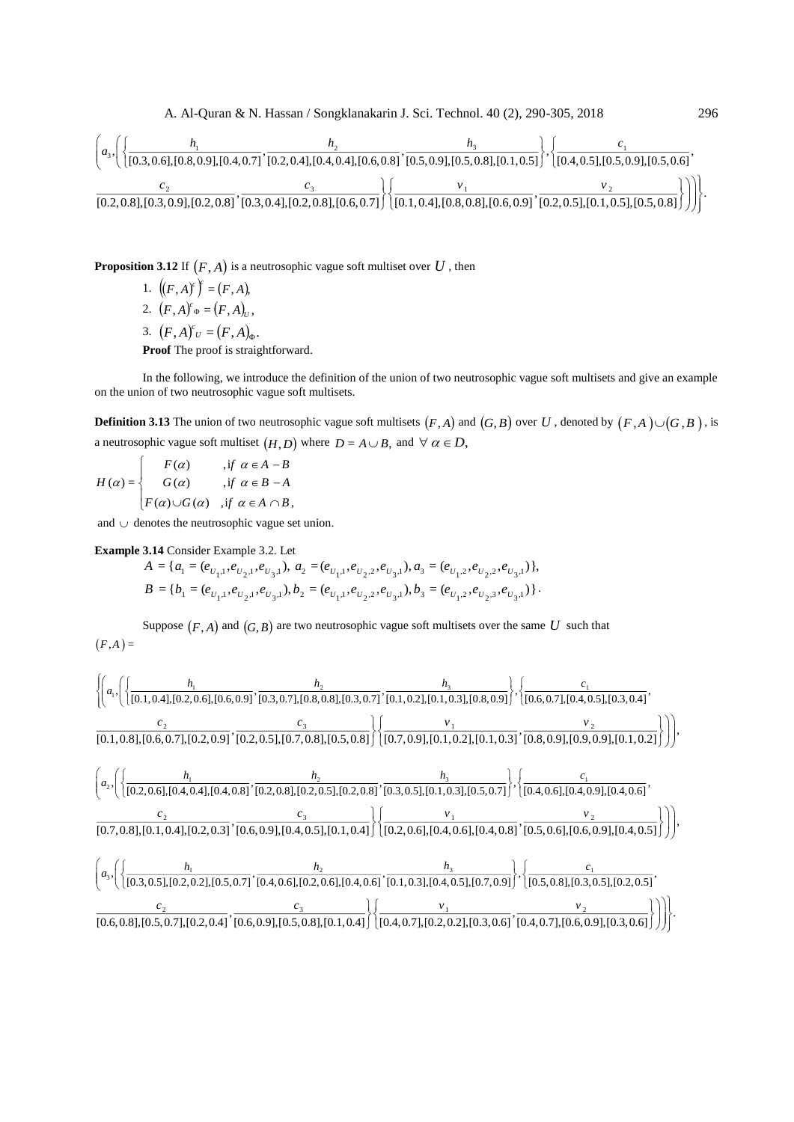

**Proposition 3.12** If  $(F, A)$  is a neutrosophic vague soft multiset over  $U$  , then

1.  $((F, A)^c)^c = (F, A),$ 2.  $(F, A)^c \circ (F, A)_U$ , 3.  $(F, A)^c v = (F, A)_{\Phi}$ . **Proof** The proof is straightforward.

In the following, we introduce the definition of the union of two neutrosophic vague soft multisets and give an example on the union of two neutrosophic vague soft multisets.

**Definition 3.13** The union of two neutrosophic vague soft multisets  $(F, A)$  and  $(G, B)$  over  $U$  , denoted by  $(F, A) \cup (G, B)$ , is a neutrosophic vague soft multiset  $(H, D)$  where  $D = A \cup B$ , and  $\forall \alpha \in D$ ,

 $F(\alpha)$  $H(\alpha) = \begin{cases} G(\alpha) & \text{if } \alpha \in B - A \end{cases}$  $\Big| F(\alpha) \cup G(\alpha) \quad \text{,if } \alpha \in A \cap B,$  $F(\alpha)$  *if*  $\alpha \in A - B$ 

and  $\cup$  denotes the neutrosophic vague set union.

**Example 3.14** Consider Example 3.2. Let

$$
A = \{a_1 = (e_{U_1,1}, e_{U_2,1}, e_{U_3,1}), a_2 = (e_{U_1,1}, e_{U_2,2}, e_{U_3,1}), a_3 = (e_{U_1,2}, e_{U_2,2}, e_{U_3,1})\},
$$
  
\n
$$
B = \{b_1 = (e_{U_1,1}, e_{U_2,1}, e_{U_3,1}), b_2 = (e_{U_1,1}, e_{U_2,2}, e_{U_3,1}), b_3 = (e_{U_1,2}, e_{U_2,3}, e_{U_3,1})\}.
$$

Suppose  $(F, A)$  and  $(G, B)$  are two neutrosophic vague soft multisets over the same U such that  $(F,A) =$ 

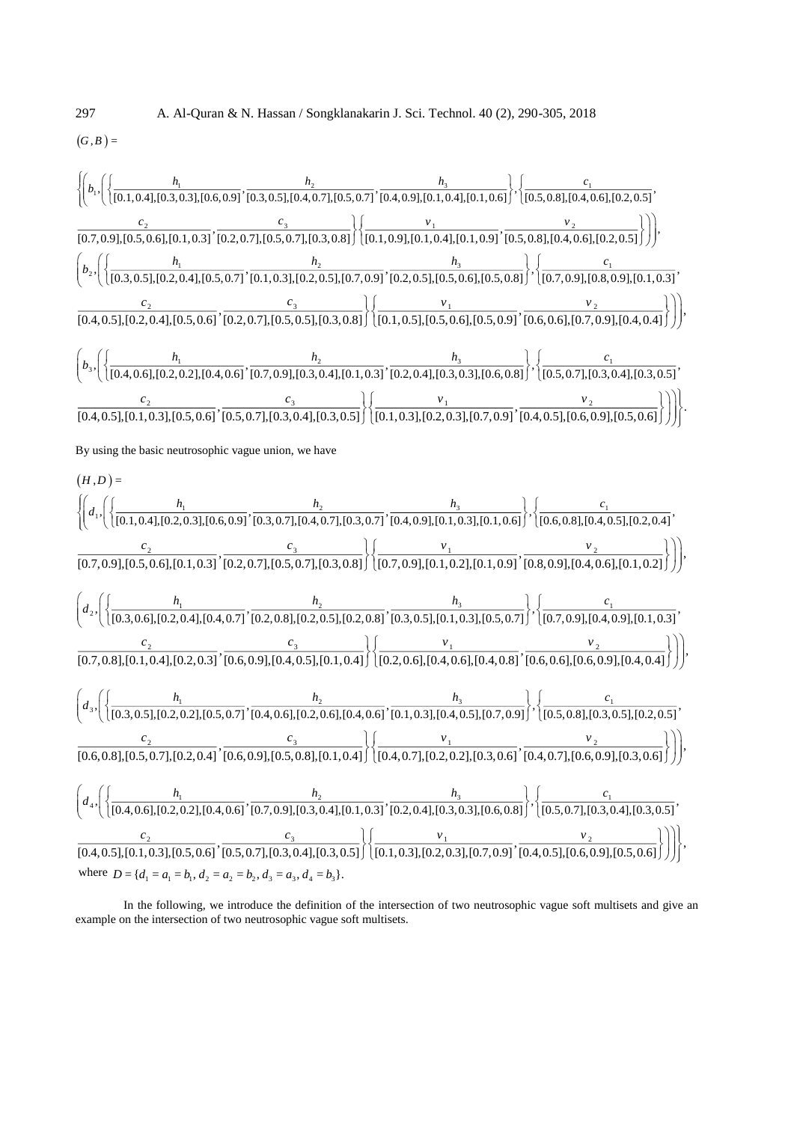$(G, B) =$ 



In the following, we introduce the definition of the intersection of two neutrosophic vague soft multisets and give an example on the intersection of two neutrosophic vague soft multisets.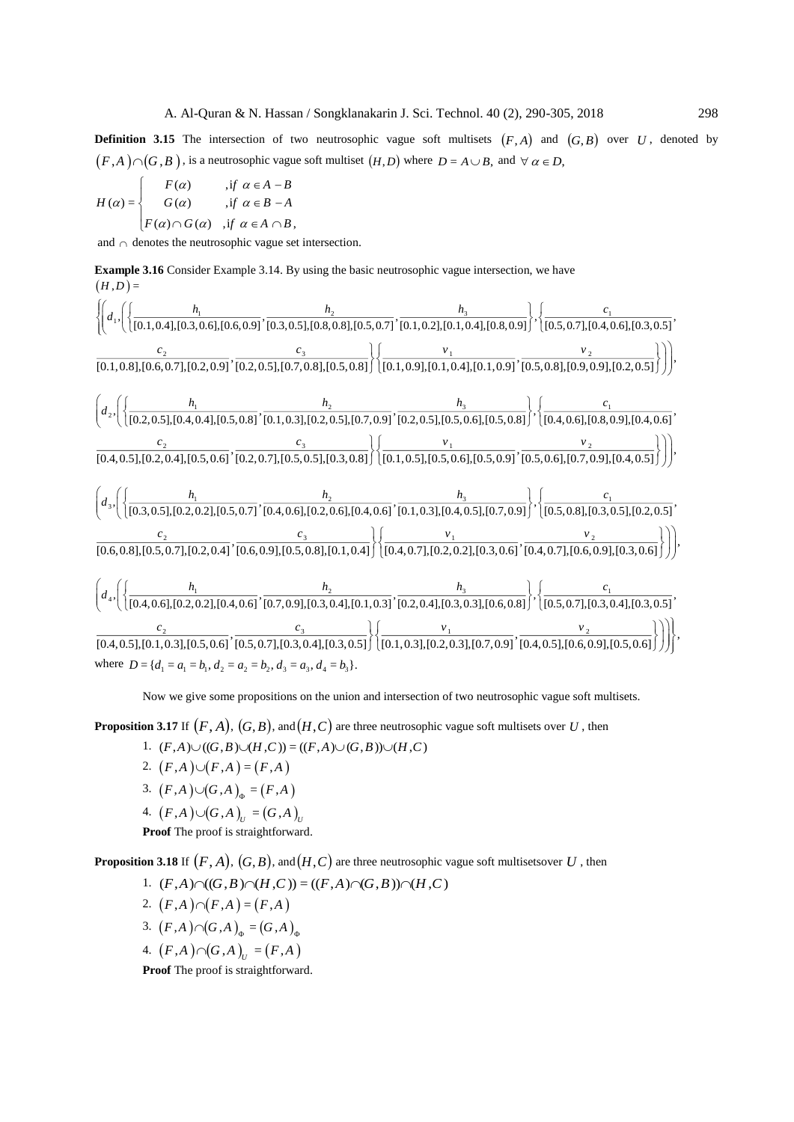**Definition 3.15** The intersection of two neutrosophic vague soft multisets  $(F, A)$  and  $(G, B)$  over  $U$ , denoted by  $(F, A) \cap (G, B)$ , is a neutrosophic vague soft multiset  $(H, D)$  where  $D = A \cup B$ , and  $\forall \alpha \in D$ ,

$$
H(\alpha) = \begin{cases} F(\alpha) & ,if \ \alpha \in A - B \\ G(\alpha) & ,if \ \alpha \in B - A \\ F(\alpha) \cap G(\alpha) & ,if \ \alpha \in A \cap B, \end{cases}
$$

and  $\cap$  denotes the neutrosophic vague set intersection.

**Example 3.16** Consider Example 3.14. By using the basic neutrosophic vague intersection, we have  $(H, D)$  =

$$
\left\{\left(d_{1},\left(\left\{\frac{h_{1}}{[0.1,0.4],[0.3,0.6],[0.6,0.9]},\frac{h_{2}}{[0.3,0.5],[0.8,0.8],[0.5,0.7]},\frac{h_{3}}{[0.1,0.2],[0.1,0.4],[0.8,0.9]}\right\},\left\{\frac{c_{1}}{[0.5,0.7],[0.4,0.6],[0.3,0.5]},\frac{c_{2}}{[0.1,0.8],[0.6,0.7],[0.2,0.9]},\frac{c_{3}}{[0.2,0.5],[0.7,0.8],[0.5,0.8]}\right\}\right\}\right\}
$$
\n
$$
\frac{1}{[0.1,0.8],[0.6,0.7],[0.2,0.9]},\frac{c_{2}}{[0.2,0.5],[0.2,0.9]},\frac{c_{3}}{[0.2,0.5],[0.7,0.8]},\frac{b_{2}}{[0.1,0.9],[0.1,0.4],[0.1,0.9]},\frac{b_{3}}{[0.5,0.8],[0.9,0.9],[0.2,0.5]}\right\})\left\{\left(d_{2},\left(\left\{\frac{h_{1}}{[0.2,0.5],[0.4,0.4],[0.5,0.8]},\frac{h_{2}}{[0.1,0.3],[0.2,0.5],[0.7,0.9]},\frac{h_{3}}{[0.2,0.5],[0.5,0.6],[0.5,0.6]},\frac{b_{3}}{[0.4,0.6],[0.8,0.9],[0.4,0.6]}\right\})\right)\right\}
$$
\n
$$
\left(d_{3},\left(\left\{\frac{h_{1}}{[0.3,0.5],[0.2,0.4],[0.5,0.6]},\frac{h_{2}}{[0.2,0.7],[0.5,0.5],[0.3,0.8]}\right\}\right)\left(\frac{h_{3}}{[0.1,0.5],[0.5,0.6],[0.5,0.9]},\frac{h_{3}}{[0.5,0.6],[0.7,0.9]},\frac{v_{2}}{[0.4,0.6],[0.7,0.9],[0.4,0.5]}\right)\right)\right),\frac{c_{2}}{[0.4,0.5],[0.2,0.2],[0.
$$

Now we give some propositions on the union and intersection of two neutrosophic vague soft multisets.

**Proposition 3.17** If  $(F,A)$ ,  $(G,B)$ , and  $(H,C)$  are three neutrosophic vague soft multisets over  $U$  , then

- 1.  $(F,A)\cup ((G,B)\cup (H,C))=((F,A)\cup (G,B))\cup (H,C)$
- 2.  $(F,A)\cup (F,A) = (F,A)$ 3.  $(F,A)\cup (G,A)_{\Phi} = (F,A)$
- $(4. \ (F, A) \cup (G, A)_{U} = (G, A)_{U}$

**Proof** The proof is straightforward.

**Proposition 3.18** If  $(F,A)$ ,  $(G,B)$ , and  $(H,C)$  are three neutrosophic vague soft multisetsover  $U$  , then

- 1.  $(F,A)\cap((G,B)\cap(H,C))=((F,A)\cap(G,B))\cap(H,C)$
- 2.  $(F,A)\cap (F,A)=(F,A)$ 3.  $(F,A)\cap (G,A)_{\infty} = (G,A)_{\infty}$  $(4. (F,A) \cap (G,A)_U = (F,A)$

**Proof** The proof is straightforward.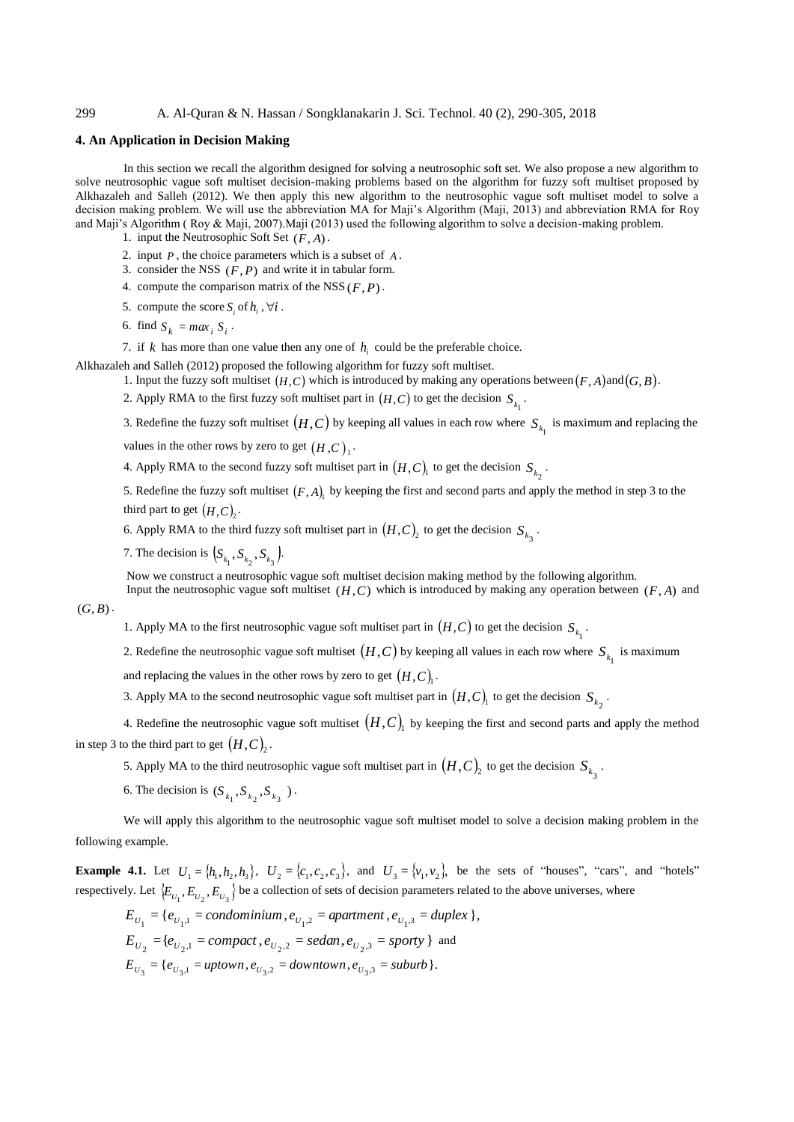# 299 A. Al-Quran & N. Hassan / Songklanakarin J. Sci. Technol. 40 (2), 290-305, 2018

## **4. An Application in Decision Making**

In this section we recall the algorithm designed for solving a neutrosophic soft set. We also propose a new algorithm to solve neutrosophic vague soft multiset decision-making problems based on the algorithm for fuzzy soft multiset proposed by Alkhazaleh and Salleh (2012). We then apply this new algorithm to the neutrosophic vague soft multiset model to solve a decision making problem. We will use the abbreviation MA for Maji's Algorithm (Maji, 2013) and abbreviation RMA for Roy and Maji's Algorithm ( Roy & Maji, 2007).Maji (2013) used the following algorithm to solve a decision-making problem.

- 1. input the Neutrosophic Soft Set (*F*, *<sup>A</sup>*).
- 2. input *P* , the choice parameters which is a subset of *<sup>A</sup>* .
- 3. consider the NSS  $(F, P)$  and write it in tabular form.
- 4. compute the comparison matrix of the NSS  $(F, P)$ .
- 5. compute the score  $S_i$  of  $h_i$ ,  $\forall i$ .
- 6. find  $S_k = max_i S_i$ .

7. if  $k$  has more than one value then any one of  $h_i$  could be the preferable choice.

Alkhazaleh and Salleh (2012) proposed the following algorithm for fuzzy soft multiset.

- 1. Input the fuzzy soft multiset  $(H, C)$  which is introduced by making any operations between  $(F, A)$  and  $(G, B)$ .
- 2. Apply RMA to the first fuzzy soft multiset part in  $(H, C)$  to get the decision  $S_{k_1}$ .

3. Redefine the fuzzy soft multiset  $(H, C)$  by keeping all values in each row where  $S_{k_1}$  is maximum and replacing the

values in the other rows by zero to get  $(H,C)_1$ .

4. Apply RMA to the second fuzzy soft multiset part in  $(H, C)$ <sub>1</sub> to get the decision  $S_{k_2}$ .

5. Redefine the fuzzy soft multiset  $(F, A)$  by keeping the first and second parts and apply the method in step 3 to the third part to get  $(H, C)$ <sub>2</sub>.

6. Apply RMA to the third fuzzy soft multiset part in  $(H, C)$ <sub>2</sub> to get the decision  $S_{k_3}$ .

7. The decision is  $(S_{k_1}, S_{k_2}, S_{k_3})$ .

Now we construct a neutrosophic vague soft multiset decision making method by the following algorithm.

Input the neutrosophic vague soft multiset  $(H, C)$  which is introduced by making any operation between  $(F, A)$  and

 $(G, B)$ .

1. Apply MA to the first neutrosophic vague soft multiset part in  $(H, C)$  to get the decision  $S_{k_1}$ .

2. Redefine the neutrosophic vague soft multiset  $(H, C)$  by keeping all values in each row where  $S_{k_1}$  is maximum

and replacing the values in the other rows by zero to get  $(H, C)$ .

3. Apply MA to the second neutrosophic vague soft multiset part in  $(H, C)$ <sub>1</sub> to get the decision  $S_{k_2}$ .

4. Redefine the neutrosophic vague soft multiset  $(H, C)$ <sub>1</sub> by keeping the first and second parts and apply the method in step 3 to the third part to get  $(H,C)_2$ .

5. Apply MA to the third neutrosophic vague soft multiset part in  $(H, C)$ <sub>2</sub> to get the decision  $S_{k_3}$ .

6. The decision is  $(S_{k_1}, S_{k_2}, S_{k_3})$ .

We will apply this algorithm to the neutrosophic vague soft multiset model to solve a decision making problem in the following example.

**Example 4.1.** Let  $U_1 = \{h_1, h_2, h_3\}$ ,  $U_2 = \{c_1, c_2, c_3\}$ , and  $U_3 = \{v_1, v_2\}$ , be the sets of "houses", "cars", and "hotels" respectively. Let  $\{E_{U_1}, E_{U_2}, E_{U_3}\}$  be a collection of sets of decision parameters related to the above universes, where

$$
E_{U_1} = \{e_{U_1,1} = \text{condominium}, e_{U_1,2} = \text{apartment}, e_{U_1,3} = \text{duplex} \},
$$
  
\n
$$
E_{U_2} = \{e_{U_2,1} = \text{compact}, e_{U_2,2} = \text{sedan}, e_{U_2,3} = \text{sporty} \} \text{ and}
$$
  
\n
$$
E_{U_3} = \{e_{U_3,1} = \text{uptown}, e_{U_3,2} = \text{downtown}, e_{U_3,3} = \text{suburb} \}.
$$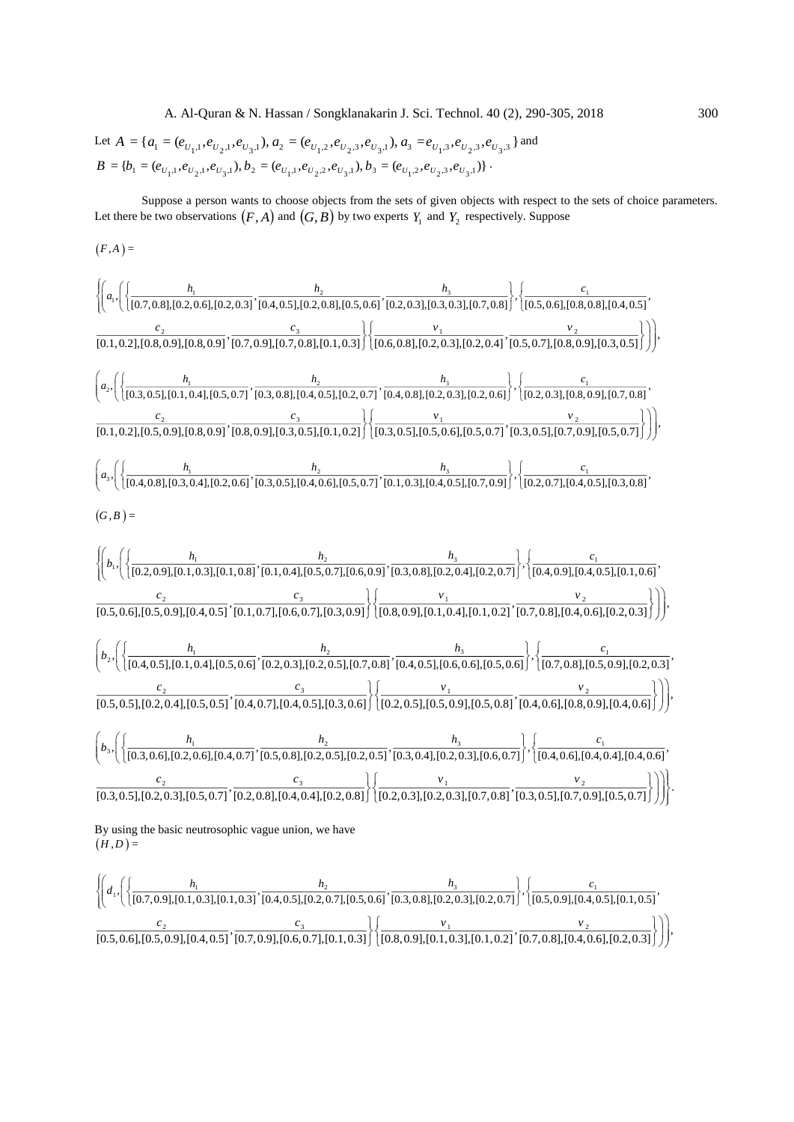A. Al-Quran & N. Hassan / Songklanakarin J. Sci. Technol. 40 (2), 290-305, 2018 300

Let 
$$
A = \{a_1 = (e_{U_1,1}, e_{U_2,1}, e_{U_3,1}), a_2 = (e_{U_1,2}, e_{U_2,3}, e_{U_3,1}), a_3 = e_{U_1,3}, e_{U_2,3}, e_{U_3,3}\}
$$
 and  
\n $B = \{b_1 = (e_{U_1,1}, e_{U_2,1}, e_{U_3,1}), b_2 = (e_{U_1,1}, e_{U_2,2}, e_{U_3,1}), b_3 = (e_{U_1,2}, e_{U_2,3}, e_{U_3,1})\}$ .

Suppose a person wants to choose objects from the sets of given objects with respect to the sets of choice parameters. Let there be two observations  $(F, A)$  and  $(G, B)$  by two experts  $Y_1$  and  $Y_2$  respectively. Suppose

$$
(F,A) =
$$

$$
\left\{\n\begin{array}{l}\n a_{1} \left( \left( \frac{h_{1}}{[0.7,0.8],[0.2,0.6],[0.2,0.3]}, \frac{h_{2}}{[0.4,0.5],[0.2,0.8],[0.3,0.6]}, \frac{h_{3}}{[0.2,0.3],[0.3,0.3]}, 0.7,0.8] \right), \left\{\n\frac{c_{1}}{[0.5,0.6],[0.8,0.8],[0.4,0.5]}, \frac{c_{2}}{[0.1,0.2],[0.8,0.9],[0.8,0.9]}, \frac{c_{3}}{[0.7,0.9],[0.7,0.8],[0.7,0.8],[0.1,0.3]}\n\end{array}\n\right)\n\left.\n\begin{array}{l}\n a_{2} \left( \left( \frac{h_{1}}{[0.3,0.5],[0.1,0.4],[0.5,0.7]}, \frac{h_{2}}{[0.3,0.5],[0.4,0.5]}, \frac{h_{3}}{[0.2,0.3],[0.2,0.3]}, \frac{h_{1}}{[0.5,0.7],[0.8,0.9],[0.3,0.5]}\n\end{array}\n\right)\n\right),\n\left.\n\begin{array}{l}\n a_{3} \left( \left( \frac{h_{1}}{[0.3,0.5],[0.1,0.4],[0.5,0.7]}, \frac{h_{2}}{[0.3,0.8],[0.4,0.5],[0.2,0.7]}, \frac{h_{3}}{[0.4,0.8],[0.2,0.3],[0.2,0.6]}\n\end{array}\n\right), \left\{\n\begin{array}{l}\n a_{4} \left( \frac{h_{1}}{[0.4,0.8],[0.3,0.4],[0.2,0.6]}, \frac{h_{2}}{[0.3,0.5],[0.4,0.5],[0.5,0.7]}, \frac{h_{3}}{[0.3,0.5],[0.4,0.5],[0.5,0.7]}, \frac{h_{3}}{[0.3,0.5],[0.4,0.5],[0.5,0.7]}\n\end{array}\n\right), \left\{\n\begin{array}{l}\n a_{5} \left( \frac{h_{1}}{[0.2,0.7],[0.4,0.5],[0.3,0.8]}, \frac{h_{2}}
$$

$$
\left\{\!\left(d_1,\!\left(\left\{\frac{h_1}{[0.7,0.9],[0.1,0.3],[0.1,0.3]},\frac{h_2}{[0.4,0.5],[0.2,0.7],[0.5,0.6]},\frac{h_3}{[0.3,0.8],[0.2,0.3],[0.2,0.7]}\right\},\right\}\,\left.\frac{c_1}{[0.5,0.9],[0.4,0.5],[0.1,0.5]},\frac{c_2}{[0.5,0.6],[0.4,0.5],[0.4,0.5]},\frac{c_3}{[0.7,0.9],[0.6,0.7],[0.1,0.3]}\right\}\,\left[\frac{v_1}{[0.8,0.9],[0.1,0.2]},\frac{v_2}{[0.7,0.8],[0.4,0.6],[0.2,0.3]}\right\}\right)\right\},
$$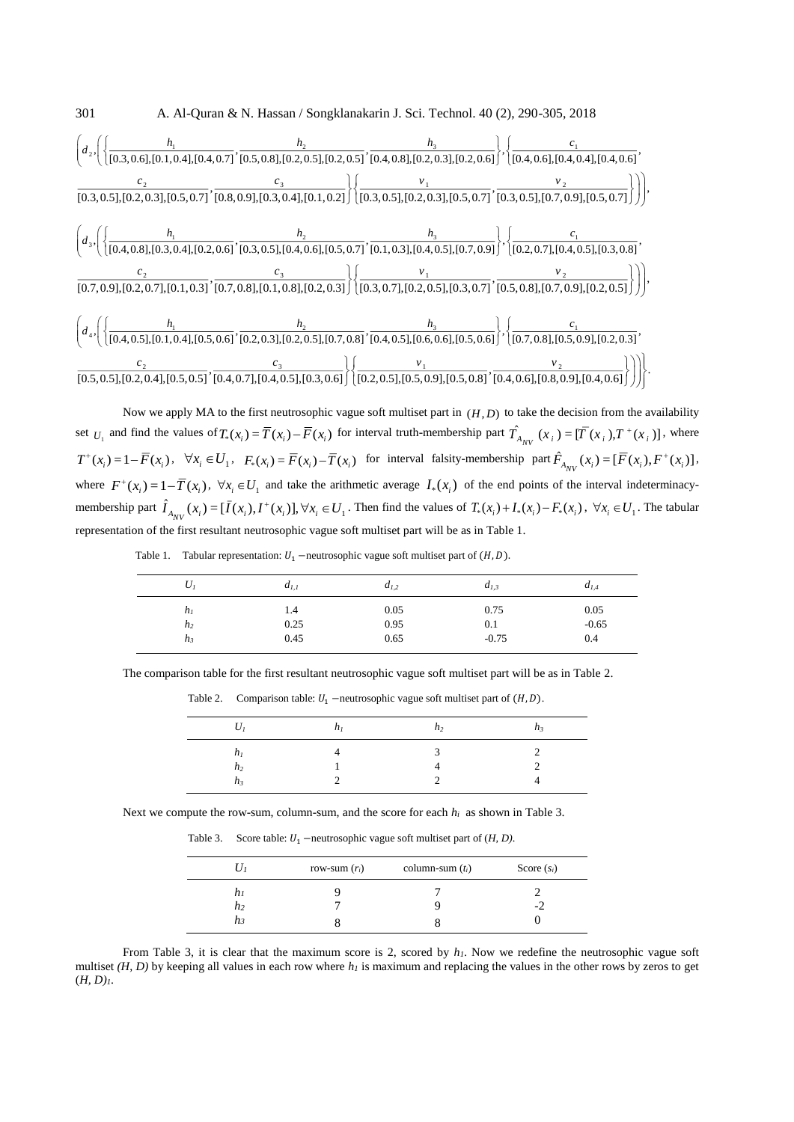

Now we apply MA to the first neutrosophic vague soft multiset part in  $(H, D)$  to take the decision from the availability set  $U_1$  and find the values of  $T_*(x_i) = \overline{T}(x_i) - \overline{F}(x_i)$  for interval truth-membership part  $\hat{T}_{A_{NV}}(x_i) = [\overline{T}(x_i), T^+(x_i)]$ , where  $T^+(x_i) = 1 - \overline{F}(x_i)$ ,  $\forall x_i \in U_1$ ,  $F_*(x_i) = \overline{F}(x_i) - \overline{T}(x_i)$  for interval falsity-membership part  $\hat{F}_{A_{NV}}(x_i) = [\overline{F}(x_i), F^+(x_i)]$ , where  $F^+(x_i) = 1 - T(x_i)$ ,  $\forall x_i \in U_1$  and take the arithmetic average  $I_*(x_i)$  of the end points of the interval indeterminacymembership part  $\hat{I}_{A_{NV}}(x_i) = [\bar{I}(x_i), I^+(x_i)], \forall x_i \in U_1$ . Then find the values of  $T_*(x_i) + I_*(x_i) - F_*(x_i)$ ,  $\forall x_i \in U_1$ . The tabular representation of the first resultant neutrosophic vague soft multiset part will be as in Table 1.

Table 1. Tabular representation:  $U_1$  –neutrosophic vague soft multiset part of  $(H, D)$ .

| $U_I$          | $d_{I,I}$ | $d_{1,2}$ | $d_{I,3}$ | $d_{I,4}$ |
|----------------|-----------|-----------|-----------|-----------|
| $h_I$          | 1.4       | 0.05      | 0.75      | 0.05      |
| h <sub>2</sub> | 0.25      | 0.95      | 0.1       | $-0.65$   |
| $h_3$          | 0.45      | 0.65      | $-0.75$   | 0.4       |

The comparison table for the first resultant neutrosophic vague soft multiset part will be as in Table 2.

|  |  |  | Table 2. Comparison table: $U_1$ –neutrosophic vague soft multiset part of $(H, D)$ . |  |  |  |  |  |
|--|--|--|---------------------------------------------------------------------------------------|--|--|--|--|--|
|--|--|--|---------------------------------------------------------------------------------------|--|--|--|--|--|

| ,,,                                | n <sub>2</sub> |  |
|------------------------------------|----------------|--|
| n <sub>2</sub><br>$\mathfrak{n}$ , |                |  |

Next we compute the row-sum, column-sum, and the score for each *hi* as shown in Table 3.

Table 3. Score table:  $U_1$  –neutrosophic vague soft multiset part of  $(H, D)$ .

| $U_1$    | row-sum $(r_i)$ | column-sum $(t_i)$ | Score $(s_i)$ |
|----------|-----------------|--------------------|---------------|
| h1<br>h2 |                 |                    | -2            |
| $n_3$    |                 |                    |               |

From Table 3, it is clear that the maximum score is 2, scored by *h1*. Now we redefine the neutrosophic vague soft multiset *(H, D)* by keeping all values in each row where *h<sup>1</sup>* is maximum and replacing the values in the other rows by zeros to get (*H, D)1*.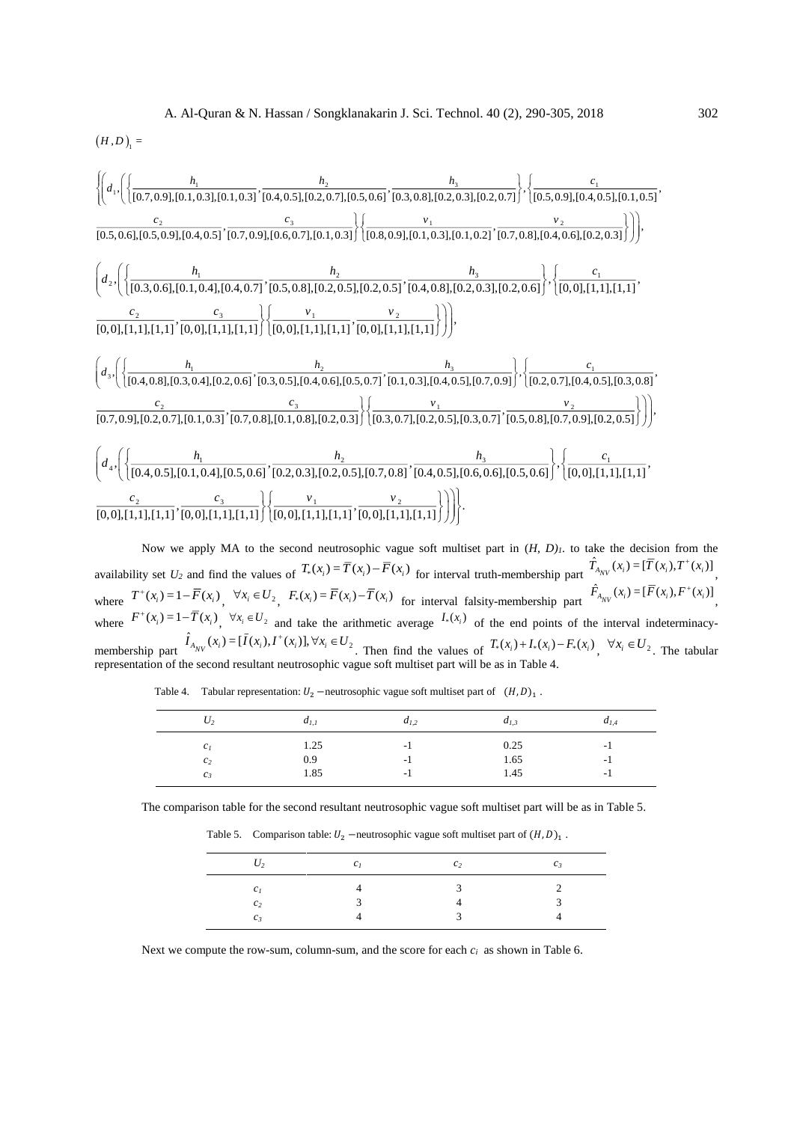$(H, D)_{_1} =$ 

$$
\left\{\left(d_{1},\left(\left\{\frac{h_{1}}{[0.7,0.9],[0.1,0.3],[0.1,0.3]},\frac{h_{2}}{[0.4,0.5],[0.2,0.7],[0.5,0.6]},\frac{h_{3}}{[0.3,0.8],[0.2,0.3],[0.2,0.7]}\right\},\left\{\frac{c_{1}}{[0.5,0.9],[0.4,0.5],[0.1,0.5]},\frac{c_{2}}{[0.5,0.6],[0.5,0.9],[0.4,0.5]},\frac{c_{3}}{[0.7,0.9],[0.6,0.7],[0.1,0.3]}\right\}\right)\right\}
$$
\n
$$
\left(d_{2},\left(\left\{\frac{h_{1}}{[0.3,0.6],[0.1,0.4],[0.4,0.7]},\frac{h_{2}}{[0.5,0.8],[0.2,0.5]},\frac{h_{3}}{[0.2,0.5],[0.1,0.3],[0.1,0.2]},\frac{v_{2}}{[0.7,0.8],[0.4,0.6],[0.2,0.3]}\right\}\right)\right),
$$
\n
$$
\left(d_{2},\left(\left\{\frac{h_{1}}{[0.3,0.6],[0.1,0.4],[0.4,0.7]},\frac{h_{2}}{[0.5,0.8],[0.2,0.5],[0.2,0.5]},\frac{h_{3}}{[0.4,0.8],[0.2,0.3],[0.2,0.6]}\right\},\left\{\frac{c_{1}}{[0,0],[1,1],[1,1]},\frac{c_{2}}{[0,0],[1,1],[1,1]}\right\}\right)\right\}
$$
\n
$$
\left(d_{3},\left(\left\{\frac{h_{1}}{[0.4,0.8],[0.3,0.4],[0.2,0.6]},\frac{h_{2}}{[0.3,0.5],[0.4,0.6],[0.5,0.7]},\frac{h_{3}}{[0.1,0.3],[0.4,0.5],[0.7,0.9]}\right\},\left\{\frac{c_{1}}{[0.2,0.7],[0.4,0.5],[0.3,0.8]},\frac{c_{1}}{[0.3,0.7],[0.4,0.5]},\frac{c_{1}}{[0.4,0.5],[0.3,
$$

Now we apply MA to the second neutrosophic vague soft multiset part in  $(H, D)$ *<sub>1</sub>*. to take the decision from the availability set  $U_2$  and find the values of  $T_*(x_i) = \overline{T}(x_i) - \overline{F}(x_i)$  for interval truth-membership part  $\hat{T}_{A_{NV}}(x_i) = [\overline{T}(x_i), T^+(x_i)]$ where  $T^+(x_i) = 1 - \overline{F}(x_i)$ ,  $\forall x_i \in U_2$ ,  $F_*(x_i) = \overline{F}(x_i) - \overline{T}(x_i)$  for interval falsity-membership part  $\hat{F}_{A_{NV}}(x_i) = [\overline{F}(x_i), F^+(x_i)]$ where  $F^+(x_i) = 1 - T(x_i)$ ,  $\forall x_i \in U_2$  and take the arithmetic average  $I_*(x_i)$  of the end points of the interval indeterminacymembership part  $\hat{I}_{A_{NV}}(x_i) = [\bar{I}(x_i), I^+(x_i)], \forall x_i \in U_2$ . Then find the values of  $T_*(x_i) + I_*(x_i) - F_*(x_i)$ ,  $\forall x_i \in U_2$ . The tabular representation of the second resultant neutrosophic vague soft multiset part will be as in Table 4.

Table 4. Tabular representation:  $U_2$  –neutrosophic vague soft multiset part of  $(H, D)_1$ .

|  |  | The comparison table for the second resultant neutrosophic vague soft multiset part will be as in Table 5. |  |  |  |
|--|--|------------------------------------------------------------------------------------------------------------|--|--|--|
|  |  |                                                                                                            |  |  |  |
|  |  |                                                                                                            |  |  |  |
|  |  |                                                                                                            |  |  |  |

*c<sup>1</sup>* 1.25 -1 0.25 -1 *c<sup>2</sup>* 0.9 -1 1.65 -1 *c<sup>3</sup>* 1.85 -1 1.45 -1

| $\cdot$ /2 | $c_I$ | $\mathcal{C}$ | C z |
|------------|-------|---------------|-----|
|            |       | $\mathcal{R}$ |     |
|            |       |               |     |

*c<sup>3</sup>* 4 3 4

Table 5. Comparison table:  $U_2$  –neutrosophic vague soft multiset part of  $(H, D)_1$ .

Next we compute the row-sum, column-sum, and the score for each *ci* as shown in Table 6.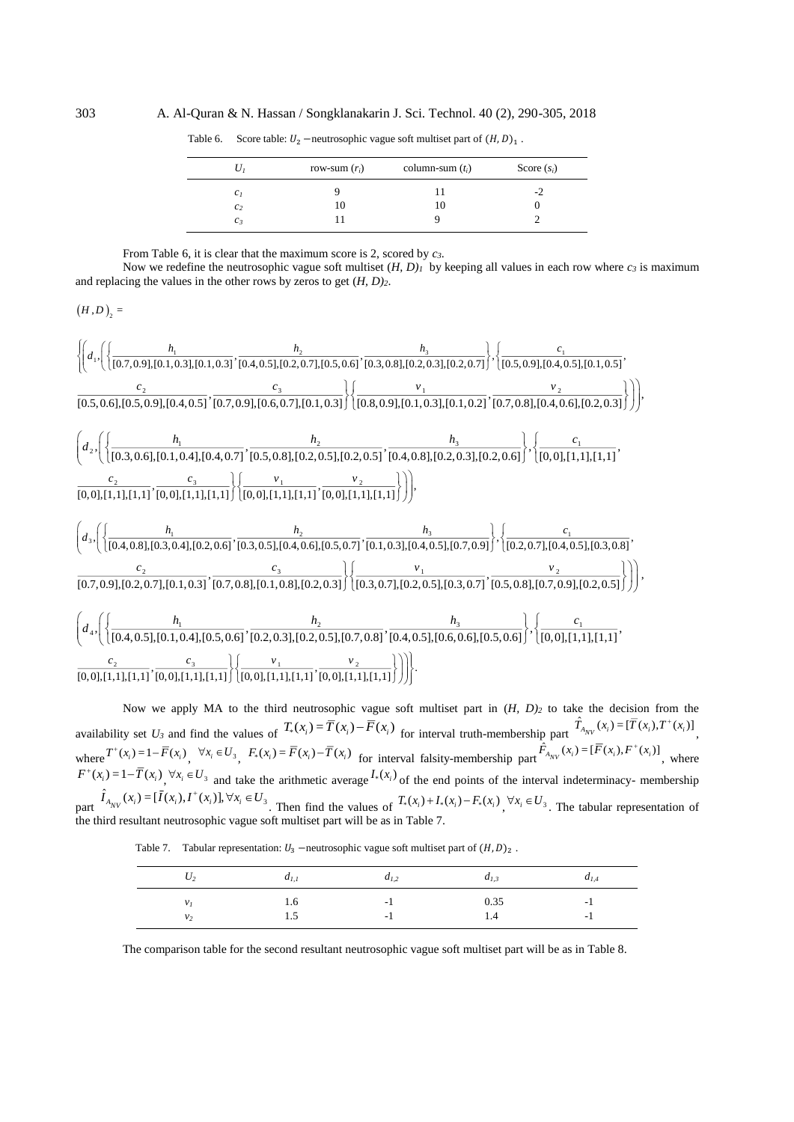303 A. Al-Quran & N. Hassan / Songklanakarin J. Sci. Technol. 40 (2), 290-305, 2018

| Uı              | row-sum $(r_i)$ | column-sum $(t_i)$ | Score $(s_i)$ |
|-----------------|-----------------|--------------------|---------------|
| c <sub>I</sub>  |                 |                    | -2            |
| $c_2$           | 10              | 10                 |               |
| $\mathcal{C}$ 3 |                 |                    |               |

Table 6. Score table:  $U_2$  –neutrosophic vague soft multiset part of  $(H, D)_1$ .

From Table 6, it is clear that the maximum score is 2, scored by *c3*.

Now we redefine the neutrosophic vague soft multiset  $(H, D)_I$  by keeping all values in each row where  $c_3$  is maximum and replacing the values in the other rows by zeros to get (*H, D)2*.

$$
(H,D)_2 =
$$

$$
\left\{\left(d_{1}, \left(\left\{\frac{h_{1}}{[0.7,0.9],[0.1,0.3],[0.1,0.3]};\frac{h_{2}}{[0.4,0.5],[0.2,0.7],[0.5,0.6]},\frac{h_{3}}{[0.3,0.8],[0.2,0.3],[0.2,0.7]}\right\},\left\{\frac{c_{1}}{[0.5,0.9],[0.4,0.5],[0.1,0.5]},\frac{c_{2}}{[0.5,0.6],[0.5,0.9],[0.4,0.5]},\frac{c_{2}}{[0.7,0.9],[0.4,0.5]},\frac{c_{3}}{[0.7,0.9],[0.4,0.5]},\frac{c_{3}}{[0.8,0.9],[0.1,0.3]}\right\}\right)\right),
$$
\n
$$
\left(d_{2}, \left(\left\{\frac{h_{1}}{[0.3,0.6],[0.1,0.4],[0.4,0.7]},\frac{h_{2}}{[0.5,0.8],[0.2,0.5]},\frac{h_{3}}{[0.4,0.8],[0.2,0.3]},\frac{h_{3}}{[0.2,0.3],[0.2,0.6]}\right\},\left\{\frac{c_{1}}{[0,0],[1,1],[1,1]},\frac{c_{2}}{[0,0],[1,1],[1,1]}\right\}\right)\right\}
$$
\n
$$
\left(d_{3}, \left(\left\{\frac{h_{1}}{[0.4,0.8],[0.3,0.4],[0.2,0.6]},\frac{h_{2}}{[0.0],[1,1],[1,1]},\frac{v_{2}}{[0.0],[1,1],[1,1]},\frac{v_{2}}{[0.0],[1,1],[1,1]}\right\})\right)\right),
$$
\n
$$
\left(d_{4}, \left(\left\{\frac{h_{1}}{[0.4,0.8],[0.3,0.4],[0.2,0.6]},\frac{h_{2}}{[0.3,0.5],[0.4,0.6],[0.5,0.7]},\frac{h_{3}}{[0.1,0.3],[0.4,0.5],[0.7,0.9]},\frac{h_{3}}{[0.2,0.7],[0.4,0.5],[0.3,0.8]},\frac{c_{1}}{[0.3,0.7],[0.2,0.5]}\right)\right
$$

Now we apply MA to the third neutrosophic vague soft multiset part in (*H, D)<sup>2</sup>* to take the decision from the availability set U<sub>3</sub> and find the values of  $T_*(x_i) = \overline{T}(x_i) - \overline{F}(x_i)$  for interval truth-membership part  $\hat{T}_{A_{NV}}(x_i) = [\overline{T}(x_i), T^+(x_i)]$ where  $T^+(x_i) = 1 - \overline{F}(x_i)$ ,  $\forall x_i \in U_3$ ,  $F_*(x_i) = \overline{F}(x_i) - \overline{T}(x_i)$  for interval falsity-membership part  $\hat{F}_{A_{NV}}(x_i) = [\overline{F}(x_i), F^+(x_i)]$ , where  $F^+(x_i) = 1 - \overline{T}(x_i)$ ,  $\forall x_i \in U_3$  and take the arithmetic average  $I_*(x_i)$  of the end points of the interval indeterminacy- membership part  $\hat{I}_{A_{NV}}(x_i) = [\bar{I}(x_i), I^+(x_i)], \forall x_i \in U_3$ . Then find the values of  $T_*(x_i) + I_*(x_i) - F_*(x_i)$ ,  $\forall x_i \in U_3$ . The tabular representation of the third resultant neutrosophic vague soft multiset part will be as in Table 7.

Table 7. Tabular representation:  $U_3$  –neutrosophic vague soft multiset part of  $(H, D)_2$ .

| $U_2$          | $a_{1,1}$      | $a_{1,2}$  | $d_{I,3}$   | $a_{1,4}$  |
|----------------|----------------|------------|-------------|------------|
| v <sub>2</sub> | 1.0<br>$\cdot$ | - 1<br>- 1 | 0.35<br>1.4 | - 1<br>. . |

The comparison table for the second resultant neutrosophic vague soft multiset part will be as in Table 8.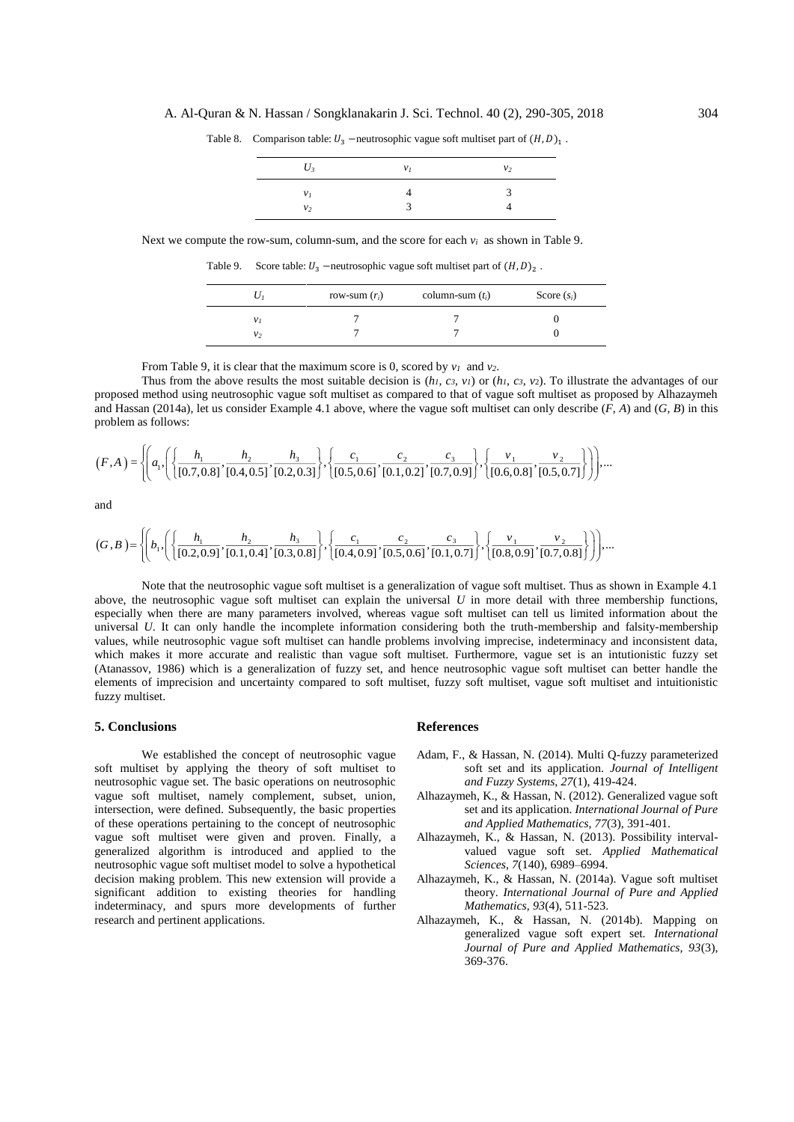| $U_{3}$              | $v_I$ | v <sub>2</sub> |
|----------------------|-------|----------------|
| v <sub>I</sub><br>ν, | ≺     | К              |

Table 8. Comparison table:  $U_3$  –neutrosophic vague soft multiset part of  $(H, D)_1$ .

Next we compute the row-sum, column-sum, and the score for each  $v_i$  as shown in Table 9.

Table 9. Score table:  $U_3$  –neutrosophic vague soft multiset part of  $(H, D)_2$ .

|                | row-sum $(r_i)$ | column-sum $(t_i)$ | Score $(s_i)$ |
|----------------|-----------------|--------------------|---------------|
| v <sub>I</sub> |                 |                    |               |
| v <sub>2</sub> |                 |                    |               |

From Table 9, it is clear that the maximum score is 0, scored by *v<sup>1</sup>* and *v2*.

Thus from the above results the most suitable decision is  $(h_l, c_3, v_l)$  or  $(h_l, c_3, v_2)$ . To illustrate the advantages of our proposed method using neutrosophic vague soft multiset as compared to that of vague soft multiset as proposed by Alhazaymeh and Hassan (2014a), let us consider Example 4.1 above, where the vague soft multiset can only describe (*F, A*) and (*G, B*) in this problem as follows:

$$
(F,A) = \left\{ \left( a_1, \left( \left\{ \frac{h_1}{[0.7, 0.8]}, \frac{h_2}{[0.4, 0.5]}, \frac{h_3}{[0.2, 0.3]}, \left\{ \frac{c_1}{[0.5, 0.6]}, \frac{c_2}{[0.1, 0.2]}, \frac{c_3}{[0.7, 0.9]} \right\}, \left\{ \frac{v_1}{[0.6, 0.8]}, \frac{v_2}{[0.5, 0.7]} \right\} \right) \right\} \dots
$$

and

$$
(G, B) = \left\{ \left( b_1, \left( \left\{ \frac{h_1}{[0.2, 0.9]}, \frac{h_2}{[0.1, 0.4]}, \frac{h_3}{[0.3, 0.8]} \right\}, \left\{ \frac{c_1}{[0.4, 0.9]}, \frac{c_2}{[0.5, 0.6]}, \frac{c_3}{[0.1, 0.7]} \right\}, \left\{ \frac{v_1}{[0.8, 0.9]}, \frac{v_2}{[0.7, 0.8]} \right\} \right) \right\} \dots
$$

Note that the neutrosophic vague soft multiset is a generalization of vague soft multiset. Thus as shown in Example 4.1 above, the neutrosophic vague soft multiset can explain the universal *U* in more detail with three membership functions, especially when there are many parameters involved, whereas vague soft multiset can tell us limited information about the universal *U*. It can only handle the incomplete information considering both the truth-membership and falsity-membership values, while neutrosophic vague soft multiset can handle problems involving imprecise, indeterminacy and inconsistent data, which makes it more accurate and realistic than vague soft multiset. Furthermore, vague set is an intutionistic fuzzy set (Atanassov, 1986) which is a generalization of fuzzy set, and hence neutrosophic vague soft multiset can better handle the elements of imprecision and uncertainty compared to soft multiset, fuzzy soft multiset, vague soft multiset and intuitionistic fuzzy multiset.

# **5. Conclusions**

We established the concept of neutrosophic vague soft multiset by applying the theory of soft multiset to neutrosophic vague set. The basic operations on neutrosophic vague soft multiset, namely complement, subset, union, intersection, were defined. Subsequently, the basic properties of these operations pertaining to the concept of neutrosophic vague soft multiset were given and proven. Finally, a generalized algorithm is introduced and applied to the neutrosophic vague soft multiset model to solve a hypothetical decision making problem. This new extension will provide a significant addition to existing theories for handling indeterminacy, and spurs more developments of further research and pertinent applications.

# **References**

- Adam, F., & Hassan, N. (2014). Multi Q-fuzzy parameterized soft set and its application. *Journal of Intelligent and Fuzzy Systems, 27*(1), 419-424.
- Alhazaymeh, K., & Hassan, N. (2012). Generalized vague soft set and its application. *International Journal of Pure and Applied Mathematics, 77*(3), 391-401.
- Alhazaymeh, K., & Hassan, N. (2013). Possibility intervalvalued vague soft set. *Applied Mathematical Sciences, 7*(140), 6989–6994.
- Alhazaymeh, K., & Hassan, N. (2014a). Vague soft multiset theory. *International Journal of Pure and Applied Mathematics, 93*(4), 511-523.
- Alhazaymeh, K., & Hassan, N. (2014b). Mapping on generalized vague soft expert set. *International Journal of Pure and Applied Mathematics, 93*(3), 369-376.